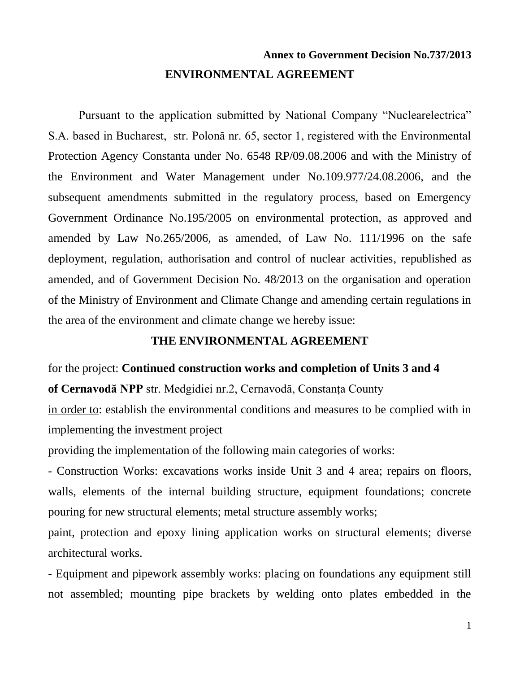# **Annex to Government Decision No.737/2013 ENVIRONMENTAL AGREEMENT**

Pursuant to the application submitted by National Company "Nuclearelectrica" S.A. based in Bucharest, str. Polonă nr. 65, sector 1, registered with the Environmental Protection Agency Constanta under No. 6548 RP/09.08.2006 and with the Ministry of the Environment and Water Management under No.109.977/24.08.2006, and the subsequent amendments submitted in the regulatory process, based on Emergency Government Ordinance No.195/2005 on environmental protection, as approved and amended by Law No.265/2006, as amended, of Law No. 111/1996 on the safe deployment, regulation, authorisation and control of nuclear activities, republished as amended, and of Government Decision No. 48/2013 on the organisation and operation of the Ministry of Environment and Climate Change and amending certain regulations in the area of the environment and climate change we hereby issue:

## **THE ENVIRONMENTAL AGREEMENT**

#### for the project: **Continued construction works and completion of Units 3 and 4**

**of Cernavodă NPP** str. Medgidiei nr.2, Cernavodă, Constanţa County

in order to: establish the environmental conditions and measures to be complied with in implementing the investment project

providing the implementation of the following main categories of works:

- Construction Works: excavations works inside Unit 3 and 4 area; repairs on floors, walls, elements of the internal building structure, equipment foundations; concrete pouring for new structural elements; metal structure assembly works;

paint, protection and epoxy lining application works on structural elements; diverse architectural works.

- Equipment and pipework assembly works: placing on foundations any equipment still not assembled; mounting pipe brackets by welding onto plates embedded in the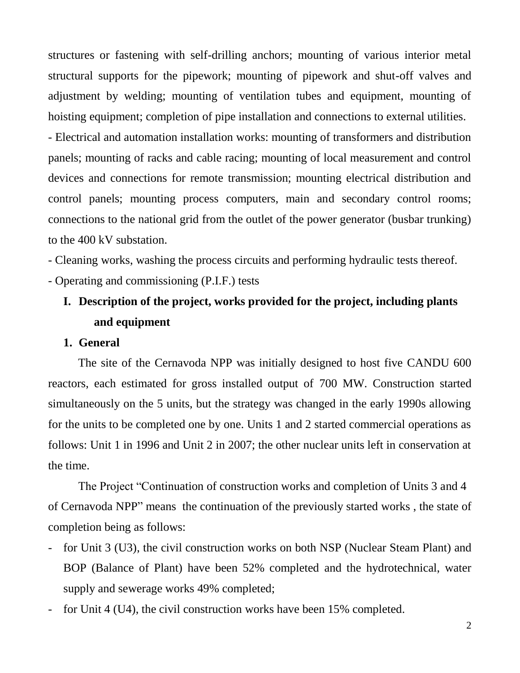structures or fastening with self-drilling anchors; mounting of various interior metal structural supports for the pipework; mounting of pipework and shut-off valves and adjustment by welding; mounting of ventilation tubes and equipment, mounting of hoisting equipment; completion of pipe installation and connections to external utilities.

- Electrical and automation installation works: mounting of transformers and distribution panels; mounting of racks and cable racing; mounting of local measurement and control devices and connections for remote transmission; mounting electrical distribution and control panels; mounting process computers, main and secondary control rooms; connections to the national grid from the outlet of the power generator (busbar trunking) to the 400 kV substation.

- Cleaning works, washing the process circuits and performing hydraulic tests thereof. - Operating and commissioning (P.I.F.) tests

# **I. Description of the project, works provided for the project, including plants and equipment**

## **1. General**

The site of the Cernavoda NPP was initially designed to host five CANDU 600 reactors, each estimated for gross installed output of 700 MW. Construction started simultaneously on the 5 units, but the strategy was changed in the early 1990s allowing for the units to be completed one by one. Units 1 and 2 started commercial operations as follows: Unit 1 in 1996 and Unit 2 in 2007; the other nuclear units left in conservation at the time.

The Project "Continuation of construction works and completion of Units 3 and 4 of Cernavoda NPP" means the continuation of the previously started works , the state of completion being as follows:

- for Unit 3 (U3), the civil construction works on both NSP (Nuclear Steam Plant) and BOP (Balance of Plant) have been 52% completed and the hydrotechnical, water supply and sewerage works 49% completed;
- for Unit 4 (U4), the civil construction works have been 15% completed.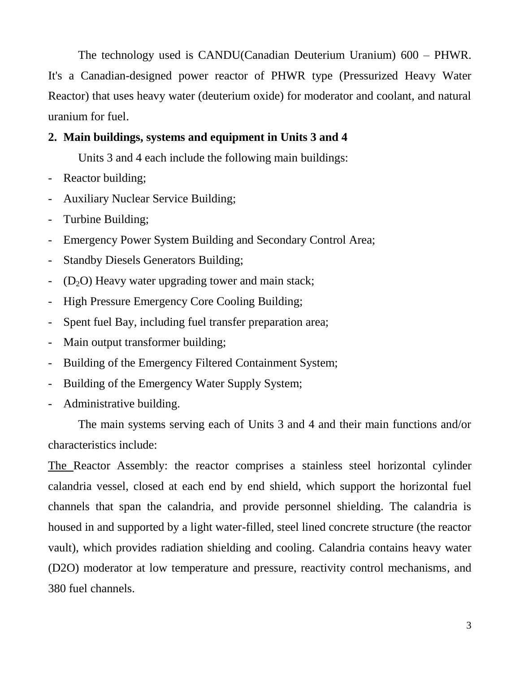The technology used is CANDU(Canadian Deuterium Uranium) 600 – PHWR. It's a Canadian-designed power reactor of PHWR type (Pressurized Heavy Water Reactor) that uses heavy water (deuterium oxide) for moderator and coolant, and natural uranium for fuel.

# **2. Main buildings, systems and equipment in Units 3 and 4**

Units 3 and 4 each include the following main buildings:

- Reactor building;
- Auxiliary Nuclear Service Building;
- Turbine Building;
- Emergency Power System Building and Secondary Control Area;
- Standby Diesels Generators Building;
- $(D_2O)$  Heavy water upgrading tower and main stack;
- High Pressure Emergency Core Cooling Building;
- Spent fuel Bay, including fuel transfer preparation area;
- Main output transformer building;
- Building of the Emergency Filtered Containment System;
- Building of the Emergency Water Supply System;
- Administrative building.

The main systems serving each of Units 3 and 4 and their main functions and/or characteristics include:

The Reactor Assembly: the reactor comprises a stainless steel horizontal cylinder calandria vessel, closed at each end by end shield, which support the horizontal fuel channels that span the calandria, and provide personnel shielding. The calandria is housed in and supported by a light water-filled, steel lined concrete structure (the reactor vault), which provides radiation shielding and cooling. Calandria contains heavy water (D2O) moderator at low temperature and pressure, reactivity control mechanisms, and 380 fuel channels.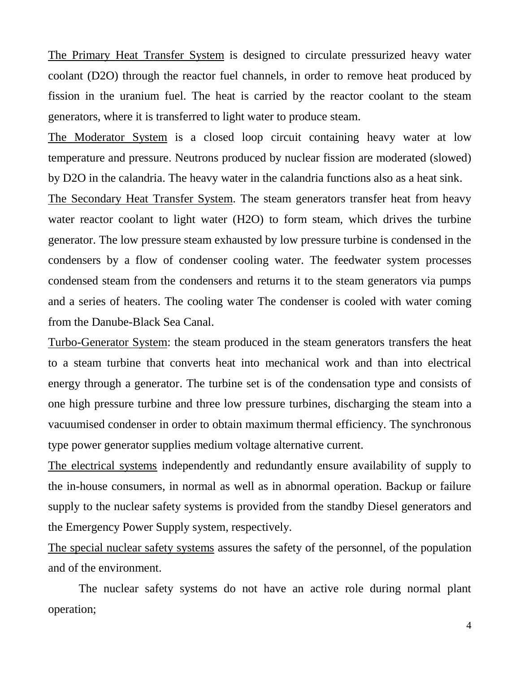The Primary Heat Transfer System is designed to circulate pressurized heavy water coolant (D2O) through the reactor fuel channels, in order to remove heat produced by fission in the uranium fuel. The heat is carried by the reactor coolant to the steam generators, where it is transferred to light water to produce steam.

The Moderator System is a closed loop circuit containing heavy water at low temperature and pressure. Neutrons produced by nuclear fission are moderated (slowed) by D2O in the calandria. The heavy water in the calandria functions also as a heat sink.

The Secondary Heat Transfer System. The steam generators transfer heat from heavy water reactor coolant to light water (H2O) to form steam, which drives the turbine generator. The low pressure steam exhausted by low pressure turbine is condensed in the condensers by a flow of condenser cooling water. The feedwater system processes condensed steam from the condensers and returns it to the steam generators via pumps and a series of heaters. The cooling water The condenser is cooled with water coming from the Danube-Black Sea Canal.

Turbo-Generator System: the steam produced in the steam generators transfers the heat to a steam turbine that converts heat into mechanical work and than into electrical energy through a generator. The turbine set is of the condensation type and consists of one high pressure turbine and three low pressure turbines, discharging the steam into a vacuumised condenser in order to obtain maximum thermal efficiency. The synchronous type power generator supplies medium voltage alternative current.

The electrical systems independently and redundantly ensure availability of supply to the in-house consumers, in normal as well as in abnormal operation. Backup or failure supply to the nuclear safety systems is provided from the standby Diesel generators and the Emergency Power Supply system, respectively.

The special nuclear safety systems assures the safety of the personnel, of the population and of the environment.

The nuclear safety systems do not have an active role during normal plant operation;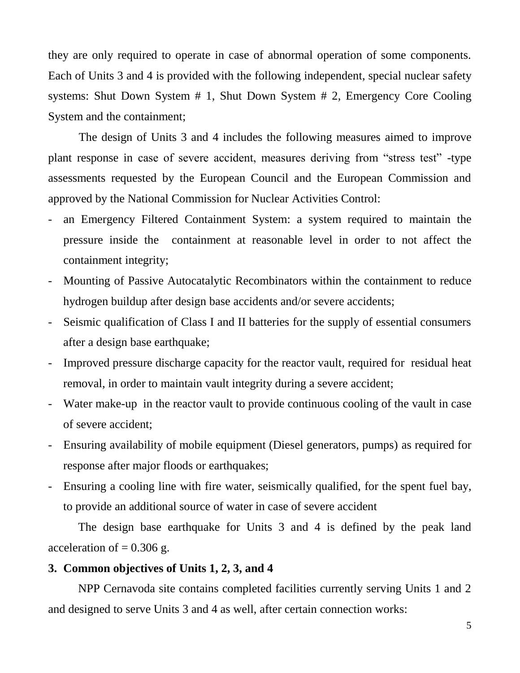they are only required to operate in case of abnormal operation of some components. Each of Units 3 and 4 is provided with the following independent, special nuclear safety systems: Shut Down System # 1, Shut Down System # 2, Emergency Core Cooling System and the containment;

The design of Units 3 and 4 includes the following measures aimed to improve plant response in case of severe accident, measures deriving from "stress test" -type assessments requested by the European Council and the European Commission and approved by the National Commission for Nuclear Activities Control:

- an Emergency Filtered Containment System: a system required to maintain the pressure inside the containment at reasonable level in order to not affect the containment integrity;
- Mounting of Passive Autocatalytic Recombinators within the containment to reduce hydrogen buildup after design base accidents and/or severe accidents;
- Seismic qualification of Class I and II batteries for the supply of essential consumers after a design base earthquake;
- Improved pressure discharge capacity for the reactor vault, required for residual heat removal, in order to maintain vault integrity during a severe accident;
- Water make-up in the reactor vault to provide continuous cooling of the vault in case of severe accident;
- Ensuring availability of mobile equipment (Diesel generators, pumps) as required for response after major floods or earthquakes;
- Ensuring a cooling line with fire water, seismically qualified, for the spent fuel bay, to provide an additional source of water in case of severe accident

The design base earthquake for Units 3 and 4 is defined by the peak land acceleration of  $= 0.306$  g.

# **3. Common objectives of Units 1, 2, 3, and 4**

NPP Cernavoda site contains completed facilities currently serving Units 1 and 2 and designed to serve Units 3 and 4 as well, after certain connection works: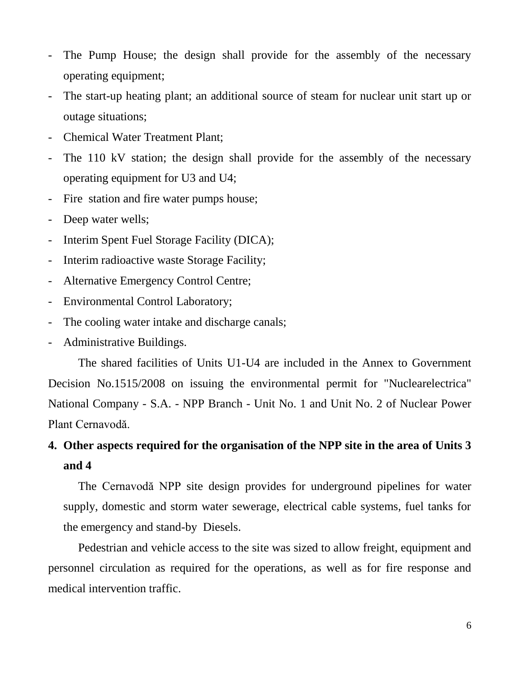- The Pump House; the design shall provide for the assembly of the necessary operating equipment;
- The start-up heating plant; an additional source of steam for nuclear unit start up or outage situations;
- Chemical Water Treatment Plant;
- The 110 kV station; the design shall provide for the assembly of the necessary operating equipment for U3 and U4;
- Fire station and fire water pumps house;
- Deep water wells;
- Interim Spent Fuel Storage Facility (DICA);
- Interim radioactive waste Storage Facility;
- Alternative Emergency Control Centre;
- Environmental Control Laboratory;
- The cooling water intake and discharge canals;
- Administrative Buildings.

The shared facilities of Units U1-U4 are included in the Annex to Government Decision No.1515/2008 on issuing the environmental permit for "Nuclearelectrica" National Company - S.A. - NPP Branch - Unit No. 1 and Unit No. 2 of Nuclear Power Plant Cernavodă.

# **4. Other aspects required for the organisation of the NPP site in the area of Units 3 and 4**

The Cernavodă NPP site design provides for underground pipelines for water supply, domestic and storm water sewerage, electrical cable systems, fuel tanks for the emergency and stand-by Diesels.

Pedestrian and vehicle access to the site was sized to allow freight, equipment and personnel circulation as required for the operations, as well as for fire response and medical intervention traffic.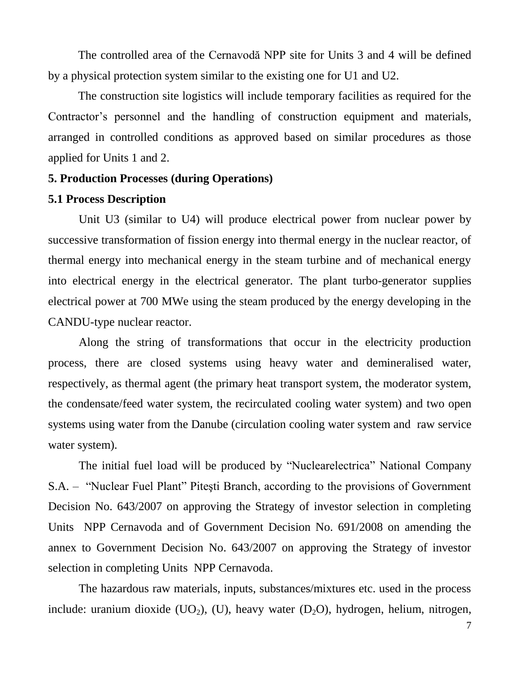The controlled area of the Cernavodă NPP site for Units 3 and 4 will be defined by a physical protection system similar to the existing one for U1 and U2.

The construction site logistics will include temporary facilities as required for the Contractor's personnel and the handling of construction equipment and materials, arranged in controlled conditions as approved based on similar procedures as those applied for Units 1 and 2.

#### **5. Production Processes (during Operations)**

## **5.1 Process Description**

Unit U3 (similar to U4) will produce electrical power from nuclear power by successive transformation of fission energy into thermal energy in the nuclear reactor, of thermal energy into mechanical energy in the steam turbine and of mechanical energy into electrical energy in the electrical generator. The plant turbo-generator supplies electrical power at 700 MWe using the steam produced by the energy developing in the CANDU-type nuclear reactor.

Along the string of transformations that occur in the electricity production process, there are closed systems using heavy water and demineralised water, respectively, as thermal agent (the primary heat transport system, the moderator system, the condensate/feed water system, the recirculated cooling water system) and two open systems using water from the Danube (circulation cooling water system and raw service water system).

The initial fuel load will be produced by "Nuclearelectrica" National Company S.A. – "Nuclear Fuel Plant" Piteşti Branch, according to the provisions of Government Decision No. 643/2007 on approving the Strategy of investor selection in completing Units NPP Cernavoda and of Government Decision No. 691/2008 on amending the annex to Government Decision No. 643/2007 on approving the Strategy of investor selection in completing Units NPP Cernavoda.

The hazardous raw materials, inputs, substances/mixtures etc. used in the process include: uranium dioxide (UO<sub>2</sub>), (U), heavy water (D<sub>2</sub>O), hydrogen, helium, nitrogen,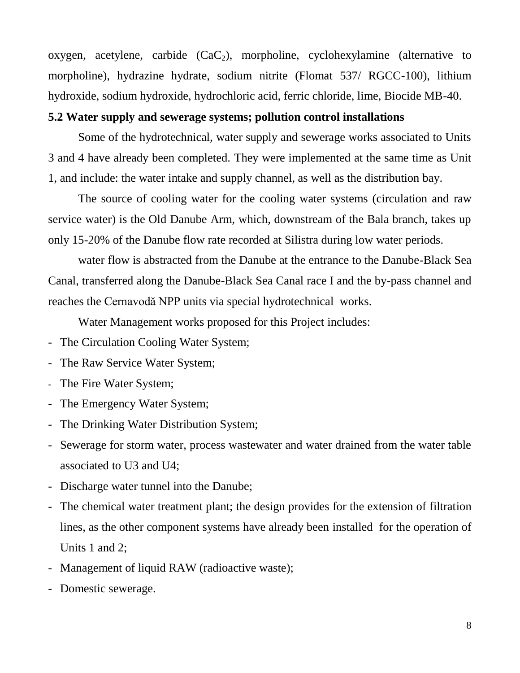oxygen, acetylene, carbide  $(CaC_2)$ , morpholine, cyclohexylamine (alternative to morpholine), hydrazine hydrate, sodium nitrite (Flomat 537/ RGCC-100), lithium hydroxide, sodium hydroxide, hydrochloric acid, ferric chloride, lime, Biocide MB-40.

## **5.2 Water supply and sewerage systems; pollution control installations**

Some of the hydrotechnical, water supply and sewerage works associated to Units 3 and 4 have already been completed. They were implemented at the same time as Unit 1, and include: the water intake and supply channel, as well as the distribution bay.

The source of cooling water for the cooling water systems (circulation and raw service water) is the Old Danube Arm, which, downstream of the Bala branch, takes up only 15-20% of the Danube flow rate recorded at Silistra during low water periods.

water flow is abstracted from the Danube at the entrance to the Danube-Black Sea Canal, transferred along the Danube-Black Sea Canal race I and the by-pass channel and reaches the Cernavodă NPP units via special hydrotechnical works.

Water Management works proposed for this Project includes:

- The Circulation Cooling Water System;
- The Raw Service Water System;
- The Fire Water System;
- The Emergency Water System;
- The Drinking Water Distribution System;
- Sewerage for storm water, process wastewater and water drained from the water table associated to U3 and U4;
- Discharge water tunnel into the Danube;
- The chemical water treatment plant; the design provides for the extension of filtration lines, as the other component systems have already been installed for the operation of Units 1 and 2;
- Management of liquid RAW (radioactive waste);
- Domestic sewerage.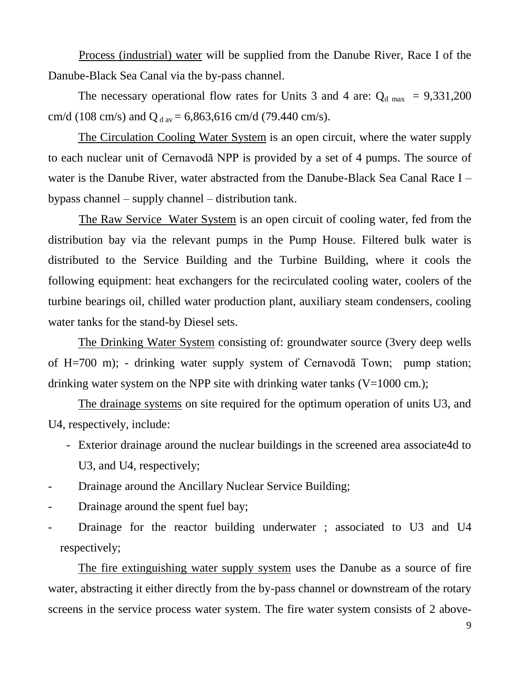Process (industrial) water will be supplied from the Danube River, Race I of the Danube-Black Sea Canal via the by-pass channel.

The necessary operational flow rates for Units 3 and 4 are:  $Q_{d \text{max}} = 9,331,200$ cm/d (108 cm/s) and Q  $_{\text{dav}}$  = 6,863,616 cm/d (79.440 cm/s).

The Circulation Cooling Water System is an open circuit, where the water supply to each nuclear unit of Cernavodă NPP is provided by a set of 4 pumps. The source of water is the Danube River, water abstracted from the Danube-Black Sea Canal Race I – bypass channel – supply channel – distribution tank.

The Raw Service Water System is an open circuit of cooling water, fed from the distribution bay via the relevant pumps in the Pump House. Filtered bulk water is distributed to the Service Building and the Turbine Building, where it cools the following equipment: heat exchangers for the recirculated cooling water, coolers of the turbine bearings oil, chilled water production plant, auxiliary steam condensers, cooling water tanks for the stand-by Diesel sets.

The Drinking Water System consisting of: groundwater source (3very deep wells of H=700 m); - drinking water supply system of Cernavodă Town; pump station; drinking water system on the NPP site with drinking water tanks  $(V=1000 \text{ cm.})$ ;

The drainage systems on site required for the optimum operation of units U3, and U4, respectively, include:

- Exterior drainage around the nuclear buildings in the screened area associate4d to U3, and U4, respectively;
- Drainage around the Ancillary Nuclear Service Building;
- Drainage around the spent fuel bay;
- Drainage for the reactor building underwater ; associated to U3 and U4 respectively;

The fire extinguishing water supply system uses the Danube as a source of fire water, abstracting it either directly from the by-pass channel or downstream of the rotary screens in the service process water system. The fire water system consists of 2 above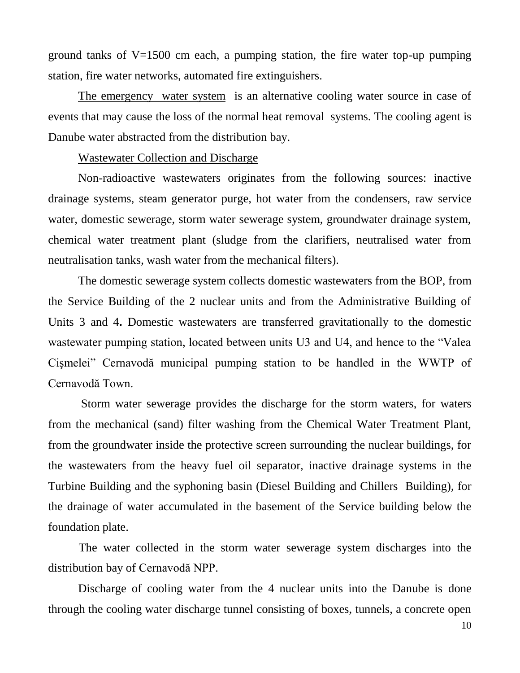ground tanks of  $V=1500$  cm each, a pumping station, the fire water top-up pumping station, fire water networks, automated fire extinguishers.

The emergency water system is an alternative cooling water source in case of events that may cause the loss of the normal heat removal systems. The cooling agent is Danube water abstracted from the distribution bay.

#### Wastewater Collection and Discharge

Non-radioactive wastewaters originates from the following sources: inactive drainage systems, steam generator purge, hot water from the condensers, raw service water, domestic sewerage, storm water sewerage system, groundwater drainage system, chemical water treatment plant (sludge from the clarifiers, neutralised water from neutralisation tanks, wash water from the mechanical filters).

The domestic sewerage system collects domestic wastewaters from the BOP, from the Service Building of the 2 nuclear units and from the Administrative Building of Units 3 and 4**.** Domestic wastewaters are transferred gravitationally to the domestic wastewater pumping station, located between units U3 and U4, and hence to the "Valea Cişmelei" Cernavodă municipal pumping station to be handled in the WWTP of Cernavodă Town.

Storm water sewerage provides the discharge for the storm waters, for waters from the mechanical (sand) filter washing from the Chemical Water Treatment Plant, from the groundwater inside the protective screen surrounding the nuclear buildings, for the wastewaters from the heavy fuel oil separator, inactive drainage systems in the Turbine Building and the syphoning basin (Diesel Building and Chillers Building), for the drainage of water accumulated in the basement of the Service building below the foundation plate.

The water collected in the storm water sewerage system discharges into the distribution bay of Cernavodă NPP.

Discharge of cooling water from the 4 nuclear units into the Danube is done through the cooling water discharge tunnel consisting of boxes, tunnels, a concrete open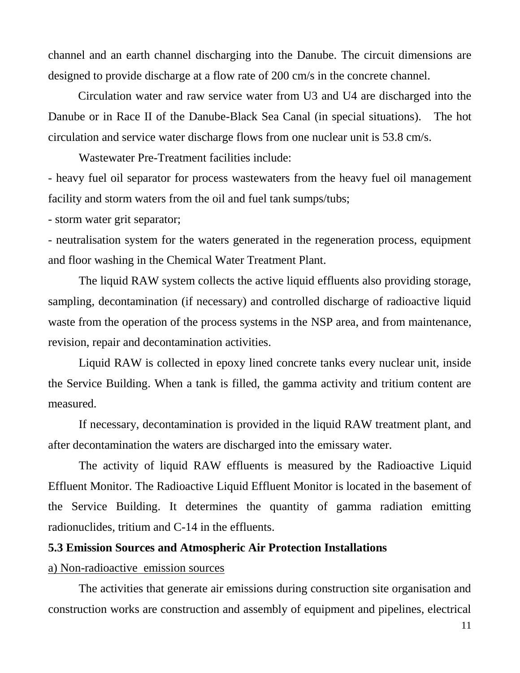channel and an earth channel discharging into the Danube. The circuit dimensions are designed to provide discharge at a flow rate of 200 cm/s in the concrete channel.

Circulation water and raw service water from U3 and U4 are discharged into the Danube or in Race II of the Danube-Black Sea Canal (in special situations).The hot circulation and service water discharge flows from one nuclear unit is 53.8 cm/s.

Wastewater Pre-Treatment facilities include:

- heavy fuel oil separator for process wastewaters from the heavy fuel oil management facility and storm waters from the oil and fuel tank sumps/tubs;

- storm water grit separator;

- neutralisation system for the waters generated in the regeneration process, equipment and floor washing in the Chemical Water Treatment Plant.

The liquid RAW system collects the active liquid effluents also providing storage, sampling, decontamination (if necessary) and controlled discharge of radioactive liquid waste from the operation of the process systems in the NSP area, and from maintenance, revision, repair and decontamination activities.

Liquid RAW is collected in epoxy lined concrete tanks every nuclear unit, inside the Service Building. When a tank is filled, the gamma activity and tritium content are measured.

If necessary, decontamination is provided in the liquid RAW treatment plant, and after decontamination the waters are discharged into the emissary water.

The activity of liquid RAW effluents is measured by the Radioactive Liquid Effluent Monitor. The Radioactive Liquid Effluent Monitor is located in the basement of the Service Building. It determines the quantity of gamma radiation emitting radionuclides, tritium and C-14 in the effluents.

#### **5.3 Emission Sources and Atmospheric Air Protection Installations**

#### a) Non-radioactive emission sources

The activities that generate air emissions during construction site organisation and construction works are construction and assembly of equipment and pipelines, electrical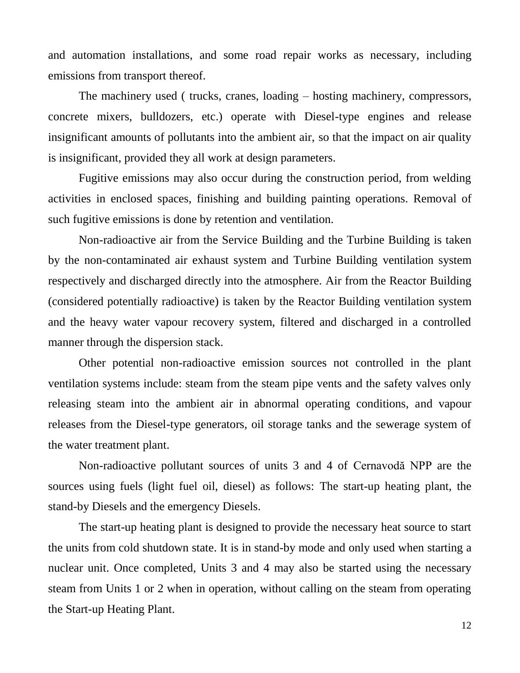and automation installations, and some road repair works as necessary, including emissions from transport thereof.

The machinery used ( trucks, cranes, loading – hosting machinery, compressors, concrete mixers, bulldozers, etc.) operate with Diesel-type engines and release insignificant amounts of pollutants into the ambient air, so that the impact on air quality is insignificant, provided they all work at design parameters.

Fugitive emissions may also occur during the construction period, from welding activities in enclosed spaces, finishing and building painting operations. Removal of such fugitive emissions is done by retention and ventilation.

Non-radioactive air from the Service Building and the Turbine Building is taken by the non-contaminated air exhaust system and Turbine Building ventilation system respectively and discharged directly into the atmosphere. Air from the Reactor Building (considered potentially radioactive) is taken by the Reactor Building ventilation system and the heavy water vapour recovery system, filtered and discharged in a controlled manner through the dispersion stack.

Other potential non-radioactive emission sources not controlled in the plant ventilation systems include: steam from the steam pipe vents and the safety valves only releasing steam into the ambient air in abnormal operating conditions, and vapour releases from the Diesel-type generators, oil storage tanks and the sewerage system of the water treatment plant.

Non-radioactive pollutant sources of units 3 and 4 of Cernavodă NPP are the sources using fuels (light fuel oil, diesel) as follows: The start-up heating plant, the stand-by Diesels and the emergency Diesels.

The start-up heating plant is designed to provide the necessary heat source to start the units from cold shutdown state. It is in stand-by mode and only used when starting a nuclear unit. Once completed, Units 3 and 4 may also be started using the necessary steam from Units 1 or 2 when in operation, without calling on the steam from operating the Start-up Heating Plant.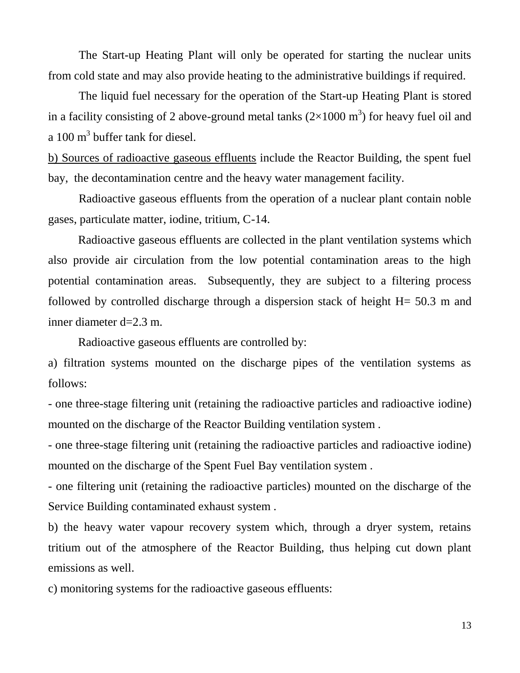The Start-up Heating Plant will only be operated for starting the nuclear units from cold state and may also provide heating to the administrative buildings if required.

The liquid fuel necessary for the operation of the Start-up Heating Plant is stored in a facility consisting of 2 above-ground metal tanks  $(2\times1000 \text{ m}^3)$  for heavy fuel oil and a 100 m<sup>3</sup> buffer tank for diesel.

b) Sources of radioactive gaseous effluents include the Reactor Building, the spent fuel bay, the decontamination centre and the heavy water management facility.

Radioactive gaseous effluents from the operation of a nuclear plant contain noble gases, particulate matter, iodine, tritium, C-14.

Radioactive gaseous effluents are collected in the plant ventilation systems which also provide air circulation from the low potential contamination areas to the high potential contamination areas. Subsequently, they are subject to a filtering process followed by controlled discharge through a dispersion stack of height H= 50.3 m and inner diameter d=2.3 m.

Radioactive gaseous effluents are controlled by:

a) filtration systems mounted on the discharge pipes of the ventilation systems as follows:

- one three-stage filtering unit (retaining the radioactive particles and radioactive iodine) mounted on the discharge of the Reactor Building ventilation system .

- one three-stage filtering unit (retaining the radioactive particles and radioactive iodine) mounted on the discharge of the Spent Fuel Bay ventilation system .

- one filtering unit (retaining the radioactive particles) mounted on the discharge of the Service Building contaminated exhaust system .

b) the heavy water vapour recovery system which, through a dryer system, retains tritium out of the atmosphere of the Reactor Building, thus helping cut down plant emissions as well.

c) monitoring systems for the radioactive gaseous effluents: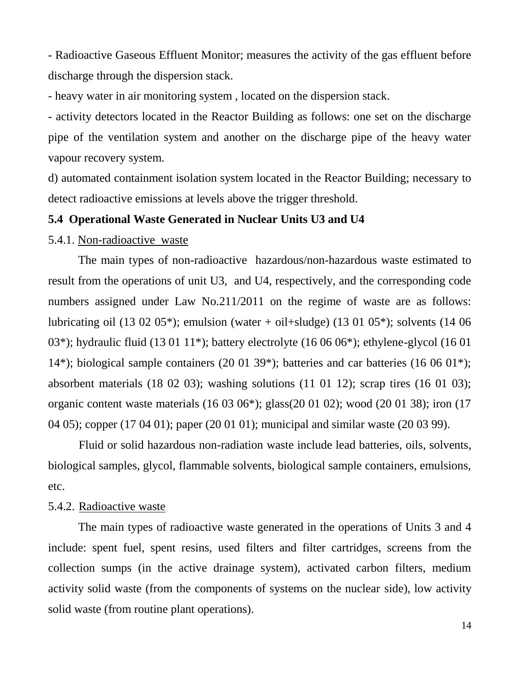- Radioactive Gaseous Effluent Monitor; measures the activity of the gas effluent before discharge through the dispersion stack.

- heavy water in air monitoring system , located on the dispersion stack.

- activity detectors located in the Reactor Building as follows: one set on the discharge pipe of the ventilation system and another on the discharge pipe of the heavy water vapour recovery system.

d) automated containment isolation system located in the Reactor Building; necessary to detect radioactive emissions at levels above the trigger threshold.

#### **5.4 Operational Waste Generated in Nuclear Units U3 and U4**

# 5.4.1. Non-radioactive waste

The main types of non-radioactive hazardous/non-hazardous waste estimated to result from the operations of unit U3, and U4, respectively, and the corresponding code numbers assigned under Law No.211/2011 on the regime of waste are as follows: lubricating oil (13 02 05\*); emulsion (water + oil+sludge) (13 01 05\*); solvents (14 06 03\*); hydraulic fluid (13 01 11\*); battery electrolyte (16 06 06\*); ethylene-glycol (16 01 14\*); biological sample containers (20 01 39\*); batteries and car batteries (16 06 01\*); absorbent materials (18 02 03); washing solutions (11 01 12); scrap tires (16 01 03); organic content waste materials (16 03 06\*); glass(20 01 02); wood (20 01 38); iron (17 04 05); copper (17 04 01); paper (20 01 01); municipal and similar waste (20 03 99).

Fluid or solid hazardous non-radiation waste include lead batteries, oils, solvents, biological samples, glycol, flammable solvents, biological sample containers, emulsions, etc.

#### 5.4.2. Radioactive waste

The main types of radioactive waste generated in the operations of Units 3 and 4 include: spent fuel, spent resins, used filters and filter cartridges, screens from the collection sumps (in the active drainage system), activated carbon filters, medium activity solid waste (from the components of systems on the nuclear side), low activity solid waste (from routine plant operations).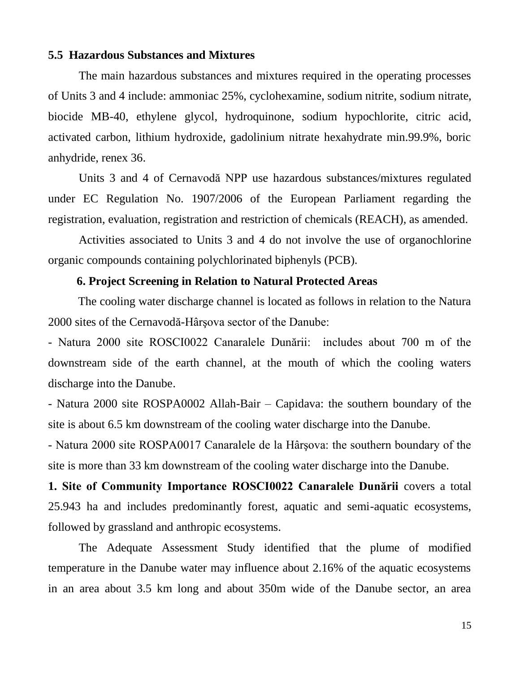#### **5.5 Hazardous Substances and Mixtures**

The main hazardous substances and mixtures required in the operating processes of Units 3 and 4 include: ammoniac 25%, cyclohexamine, sodium nitrite, sodium nitrate, biocide MB-40, ethylene glycol, hydroquinone, sodium hypochlorite, citric acid, activated carbon, lithium hydroxide, gadolinium nitrate hexahydrate min.99.9%, boric anhydride, renex 36.

Units 3 and 4 of Cernavodă NPP use hazardous substances/mixtures regulated under EC Regulation No. 1907/2006 of the European Parliament regarding the registration, evaluation, registration and restriction of chemicals (REACH), as amended.

Activities associated to Units 3 and 4 do not involve the use of organochlorine organic compounds containing polychlorinated biphenyls (PCB).

#### **6. Project Screening in Relation to Natural Protected Areas**

The cooling water discharge channel is located as follows in relation to the Natura 2000 sites of the Cernavodă-Hârşova sector of the Danube:

- Natura 2000 site ROSCI0022 Canaralele Dunării: includes about 700 m of the downstream side of the earth channel, at the mouth of which the cooling waters discharge into the Danube.

- Natura 2000 site ROSPA0002 Allah-Bair – Capidava: the southern boundary of the site is about 6.5 km downstream of the cooling water discharge into the Danube.

- Natura 2000 site ROSPA0017 Canaralele de la Hârşova: the southern boundary of the site is more than 33 km downstream of the cooling water discharge into the Danube.

**1. Site of Community Importance ROSCI0022 Canaralele Dunării** covers a total 25.943 ha and includes predominantly forest, aquatic and semi-aquatic ecosystems, followed by grassland and anthropic ecosystems.

The Adequate Assessment Study identified that the plume of modified temperature in the Danube water may influence about 2.16% of the aquatic ecosystems in an area about 3.5 km long and about 350m wide of the Danube sector, an area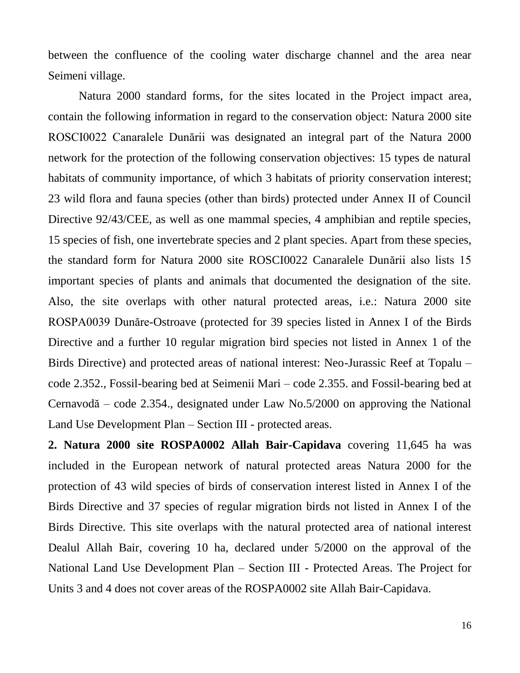between the confluence of the cooling water discharge channel and the area near Seimeni village.

Natura 2000 standard forms, for the sites located in the Project impact area, contain the following information in regard to the conservation object: Natura 2000 site ROSCI0022 Canaralele Dunării was designated an integral part of the Natura 2000 network for the protection of the following conservation objectives: 15 types de natural habitats of community importance, of which 3 habitats of priority conservation interest; 23 wild flora and fauna species (other than birds) protected under Annex II of Council Directive 92/43/CEE, as well as one mammal species, 4 amphibian and reptile species, 15 species of fish, one invertebrate species and 2 plant species. Apart from these species, the standard form for Natura 2000 site ROSCI0022 Canaralele Dunării also lists 15 important species of plants and animals that documented the designation of the site. Also, the site overlaps with other natural protected areas, i.e.: Natura 2000 site ROSPA0039 Dunăre-Ostroave (protected for 39 species listed in Annex I of the Birds Directive and a further 10 regular migration bird species not listed in Annex 1 of the Birds Directive) and protected areas of national interest: Neo-Jurassic Reef at Topalu – code 2.352., Fossil-bearing bed at Seimenii Mari – code 2.355. and Fossil-bearing bed at Cernavodă – code 2.354., designated under Law No.5/2000 on approving the National Land Use Development Plan – Section III - protected areas.

**2. Natura 2000 site ROSPA0002 Allah Bair-Capidava** covering 11,645 ha was included in the European network of natural protected areas Natura 2000 for the protection of 43 wild species of birds of conservation interest listed in Annex I of the Birds Directive and 37 species of regular migration birds not listed in Annex I of the Birds Directive. This site overlaps with the natural protected area of national interest Dealul Allah Bair, covering 10 ha, declared under 5/2000 on the approval of the National Land Use Development Plan – Section III - Protected Areas. The Project for Units 3 and 4 does not cover areas of the ROSPA0002 site Allah Bair-Capidava.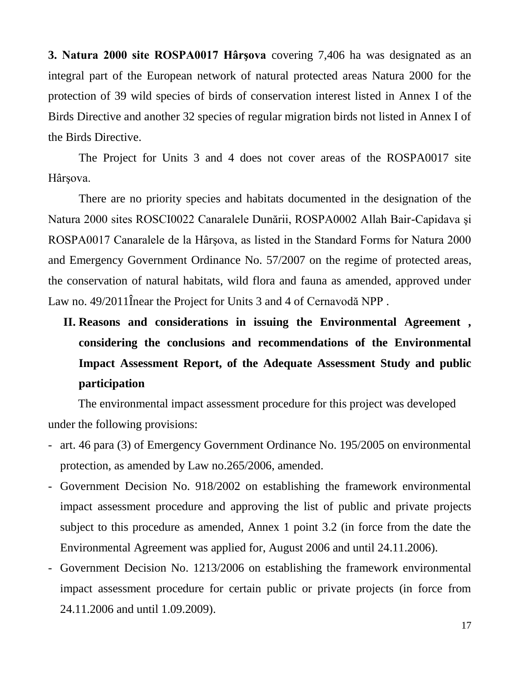**3. Natura 2000 site ROSPA0017 Hârşova** covering 7,406 ha was designated as an integral part of the European network of natural protected areas Natura 2000 for the protection of 39 wild species of birds of conservation interest listed in Annex I of the Birds Directive and another 32 species of regular migration birds not listed in Annex I of the Birds Directive.

The Project for Units 3 and 4 does not cover areas of the ROSPA0017 site Hârşova.

There are no priority species and habitats documented in the designation of the Natura 2000 sites ROSCI0022 Canaralele Dunării, ROSPA0002 Allah Bair-Capidava şi ROSPA0017 Canaralele de la Hârşova, as listed in the Standard Forms for Natura 2000 and Emergency Government Ordinance No. 57/2007 on the regime of protected areas, the conservation of natural habitats, wild flora and fauna as amended, approved under Law no. 49/2011Înear the Project for Units 3 and 4 of Cernavodă NPP .

**II. Reasons and considerations in issuing the Environmental Agreement , considering the conclusions and recommendations of the Environmental Impact Assessment Report, of the Adequate Assessment Study and public participation**

The environmental impact assessment procedure for this project was developed under the following provisions:

- art. 46 para (3) of Emergency Government Ordinance No. 195/2005 on environmental protection, as amended by Law no.265/2006, amended.
- Government Decision No. 918/2002 on establishing the framework environmental impact assessment procedure and approving the list of public and private projects subject to this procedure as amended, Annex 1 point 3.2 (in force from the date the Environmental Agreement was applied for, August 2006 and until 24.11.2006).
- Government Decision No. 1213/2006 on establishing the framework environmental impact assessment procedure for certain public or private projects (in force from 24.11.2006 and until 1.09.2009).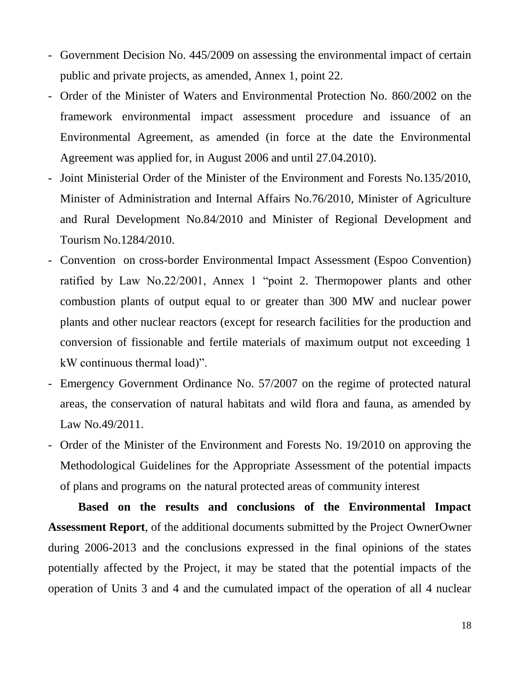- Government Decision No. 445/2009 on assessing the environmental impact of certain public and private projects, as amended, Annex 1, point 22.
- Order of the Minister of Waters and Environmental Protection No. 860/2002 on the framework environmental impact assessment procedure and issuance of an Environmental Agreement, as amended (in force at the date the Environmental Agreement was applied for, in August 2006 and until 27.04.2010).
- Joint Ministerial Order of the Minister of the Environment and Forests No.135/2010, Minister of Administration and Internal Affairs No.76/2010, Minister of Agriculture and Rural Development No.84/2010 and Minister of Regional Development and Tourism No.1284/2010.
- Convention on cross-border Environmental Impact Assessment (Espoo Convention) ratified by Law No.22/2001, Annex 1 "point 2. Thermopower plants and other combustion plants of output equal to or greater than 300 MW and nuclear power plants and other nuclear reactors (except for research facilities for the production and conversion of fissionable and fertile materials of maximum output not exceeding 1 kW continuous thermal load)".
- Emergency Government Ordinance No. 57/2007 on the regime of protected natural areas, the conservation of natural habitats and wild flora and fauna, as amended by Law No.49/2011.
- Order of the Minister of the Environment and Forests No. 19/2010 on approving the Methodological Guidelines for the Appropriate Assessment of the potential impacts of plans and programs on the natural protected areas of community interest

**Based on the results and conclusions of the Environmental Impact Assessment Report**, of the additional documents submitted by the Project OwnerOwner during 2006-2013 and the conclusions expressed in the final opinions of the states potentially affected by the Project, it may be stated that the potential impacts of the operation of Units 3 and 4 and the cumulated impact of the operation of all 4 nuclear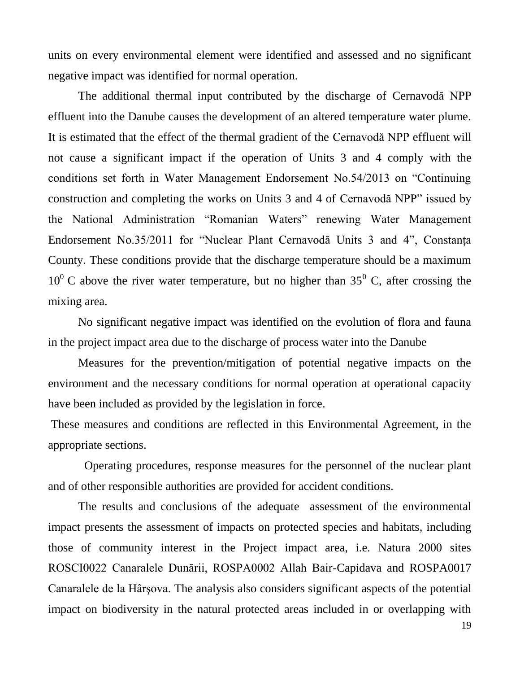units on every environmental element were identified and assessed and no significant negative impact was identified for normal operation.

The additional thermal input contributed by the discharge of Cernavodă NPP effluent into the Danube causes the development of an altered temperature water plume. It is estimated that the effect of the thermal gradient of the Cernavodă NPP effluent will not cause a significant impact if the operation of Units 3 and 4 comply with the conditions set forth in Water Management Endorsement No.54/2013 on "Continuing construction and completing the works on Units 3 and 4 of Cernavodă NPP" issued by the National Administration "Romanian Waters" renewing Water Management Endorsement No.35/2011 for "Nuclear Plant Cernavodă Units 3 and 4", Constanţa County. These conditions provide that the discharge temperature should be a maximum  $10^{0}$  C above the river water temperature, but no higher than 35<sup>0</sup> C, after crossing the mixing area.

No significant negative impact was identified on the evolution of flora and fauna in the project impact area due to the discharge of process water into the Danube

Measures for the prevention/mitigation of potential negative impacts on the environment and the necessary conditions for normal operation at operational capacity have been included as provided by the legislation in force.

These measures and conditions are reflected in this Environmental Agreement, in the appropriate sections.

Operating procedures, response measures for the personnel of the nuclear plant and of other responsible authorities are provided for accident conditions.

The results and conclusions of the adequate assessment of the environmental impact presents the assessment of impacts on protected species and habitats, including those of community interest in the Project impact area, i.e. Natura 2000 sites ROSCI0022 Canaralele Dunării, ROSPA0002 Allah Bair-Capidava and ROSPA0017 Canaralele de la Hârşova. The analysis also considers significant aspects of the potential impact on biodiversity in the natural protected areas included in or overlapping with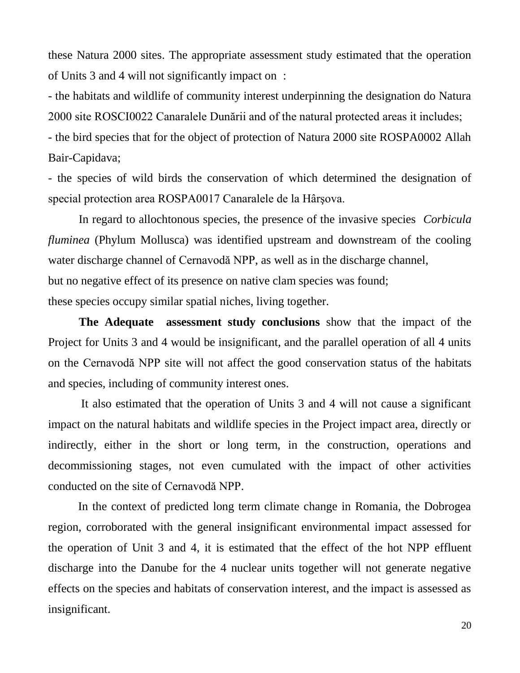these Natura 2000 sites. The appropriate assessment study estimated that the operation of Units 3 and 4 will not significantly impact on :

- the habitats and wildlife of community interest underpinning the designation do Natura 2000 site ROSCI0022 Canaralele Dunării and of the natural protected areas it includes;

- the bird species that for the object of protection of Natura 2000 site ROSPA0002 Allah Bair-Capidava;

- the species of wild birds the conservation of which determined the designation of special protection area ROSPA0017 Canaralele de la Hârşova.

In regard to allochtonous species, the presence of the invasive species *Corbicula fluminea* (Phylum Mollusca) was identified upstream and downstream of the cooling water discharge channel of Cernavodă NPP, as well as in the discharge channel, but no negative effect of its presence on native clam species was found;

these species occupy similar spatial niches, living together.

**The Adequate assessment study conclusions** show that the impact of the Project for Units 3 and 4 would be insignificant, and the parallel operation of all 4 units on the Cernavodă NPP site will not affect the good conservation status of the habitats and species, including of community interest ones.

It also estimated that the operation of Units 3 and 4 will not cause a significant impact on the natural habitats and wildlife species in the Project impact area, directly or indirectly, either in the short or long term, in the construction, operations and decommissioning stages, not even cumulated with the impact of other activities conducted on the site of Cernavodă NPP.

In the context of predicted long term climate change in Romania, the Dobrogea region, corroborated with the general insignificant environmental impact assessed for the operation of Unit 3 and 4, it is estimated that the effect of the hot NPP effluent discharge into the Danube for the 4 nuclear units together will not generate negative effects on the species and habitats of conservation interest, and the impact is assessed as insignificant.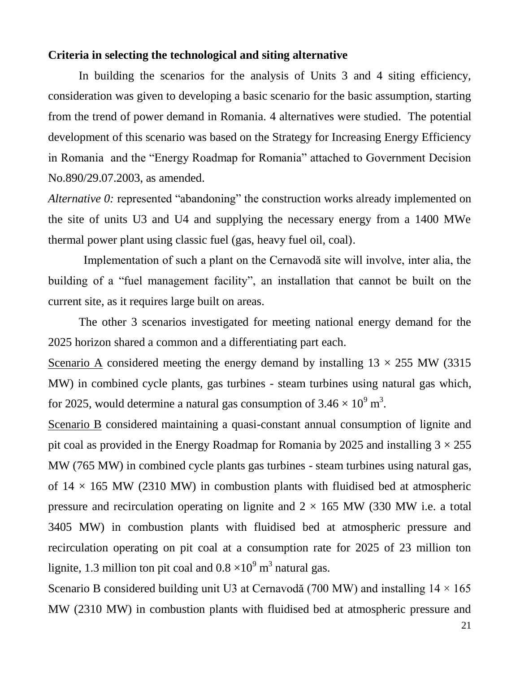#### **Criteria in selecting the technological and siting alternative**

In building the scenarios for the analysis of Units 3 and 4 siting efficiency, consideration was given to developing a basic scenario for the basic assumption, starting from the trend of power demand in Romania. 4 alternatives were studied. The potential development of this scenario was based on the Strategy for Increasing Energy Efficiency in Romania and the "Energy Roadmap for Romania" attached to Government Decision No.890/29.07.2003, as amended.

*Alternative 0:* represented "abandoning" the construction works already implemented on the site of units U3 and U4 and supplying the necessary energy from a 1400 MWe thermal power plant using classic fuel (gas, heavy fuel oil, coal).

 Implementation of such a plant on the Cernavodă site will involve, inter alia, the building of a "fuel management facility", an installation that cannot be built on the current site, as it requires large built on areas.

The other 3 scenarios investigated for meeting national energy demand for the 2025 horizon shared a common and a differentiating part each.

Scenario A considered meeting the energy demand by installing  $13 \times 255$  MW (3315) MW) in combined cycle plants, gas turbines - steam turbines using natural gas which, for 2025, would determine a natural gas consumption of  $3.46 \times 10^9$  m<sup>3</sup>.

Scenario B considered maintaining a quasi-constant annual consumption of lignite and pit coal as provided in the Energy Roadmap for Romania by 2025 and installing  $3 \times 255$ MW (765 MW) in combined cycle plants gas turbines - steam turbines using natural gas, of  $14 \times 165$  MW (2310 MW) in combustion plants with fluidised bed at atmospheric pressure and recirculation operating on lignite and  $2 \times 165$  MW (330 MW i.e. a total 3405 MW) in combustion plants with fluidised bed at atmospheric pressure and recirculation operating on pit coal at a consumption rate for 2025 of 23 million ton lignite, 1.3 million ton pit coal and  $0.8 \times 10^9$  m<sup>3</sup> natural gas.

Scenario B considered building unit U3 at Cernavodă (700 MW) and installing  $14 \times 165$ MW (2310 MW) in combustion plants with fluidised bed at atmospheric pressure and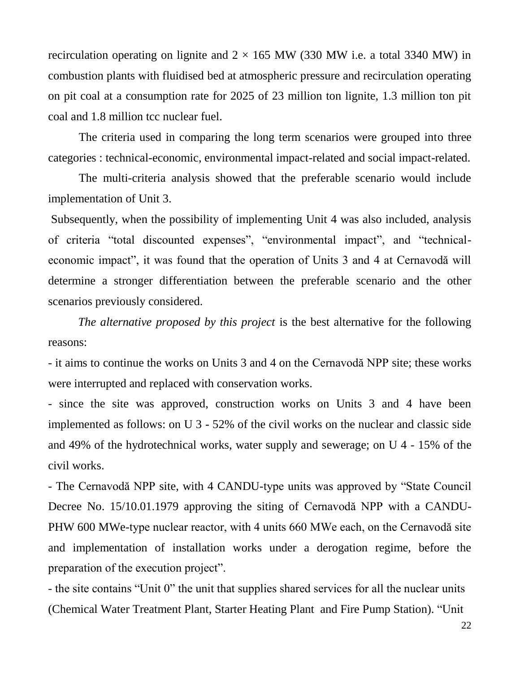recirculation operating on lignite and  $2 \times 165$  MW (330 MW i.e. a total 3340 MW) in combustion plants with fluidised bed at atmospheric pressure and recirculation operating on pit coal at a consumption rate for 2025 of 23 million ton lignite, 1.3 million ton pit coal and 1.8 million tcc nuclear fuel.

The criteria used in comparing the long term scenarios were grouped into three categories : technical-economic, environmental impact-related and social impact-related.

The multi-criteria analysis showed that the preferable scenario would include implementation of Unit 3.

Subsequently, when the possibility of implementing Unit 4 was also included, analysis of criteria "total discounted expenses", "environmental impact", and "technicaleconomic impact", it was found that the operation of Units 3 and 4 at Cernavodă will determine a stronger differentiation between the preferable scenario and the other scenarios previously considered.

*The alternative proposed by this project* is the best alternative for the following reasons:

- it aims to continue the works on Units 3 and 4 on the Cernavodă NPP site; these works were interrupted and replaced with conservation works.

- since the site was approved, construction works on Units 3 and 4 have been implemented as follows: on U 3 - 52% of the civil works on the nuclear and classic side and 49% of the hydrotechnical works, water supply and sewerage; on U 4 - 15% of the civil works.

- The Cernavodă NPP site, with 4 CANDU-type units was approved by "State Council Decree No. 15/10.01.1979 approving the siting of Cernavodă NPP with a CANDU-PHW 600 MWe-type nuclear reactor, with 4 units 660 MWe each, on the Cernavodă site and implementation of installation works under a derogation regime, before the preparation of the execution project".

- the site contains "Unit 0" the unit that supplies shared services for all the nuclear units (Chemical Water Treatment Plant, Starter Heating Plant and Fire Pump Station). "Unit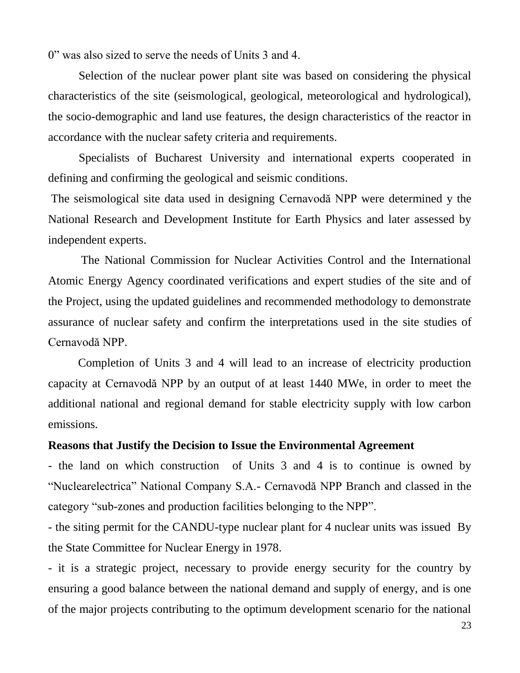0" was also sized to serve the needs of Units 3 and 4.

Selection of the nuclear power plant site was based on considering the physical characteristics of the site (seismological, geological, meteorological and hydrological), the socio-demographic and land use features, the design characteristics of the reactor in accordance with the nuclear safety criteria and requirements.

Specialists of Bucharest University and international experts cooperated in defining and confirming the geological and seismic conditions.

The seismological site data used in designing Cernavodă NPP were determined y the National Research and Development Institute for Earth Physics and later assessed by independent experts.

The National Commission for Nuclear Activities Control and the International Atomic Energy Agency coordinated verifications and expert studies of the site and of the Project, using the updated guidelines and recommended methodology to demonstrate assurance of nuclear safety and confirm the interpretations used in the site studies of Cernavodă NPP.

Completion of Units 3 and 4 will lead to an increase of electricity production capacity at Cernavodă NPP by an output of at least 1440 MWe, in order to meet the additional national and regional demand for stable electricity supply with low carbon emissions.

## **Reasons that Justify the Decision to Issue the Environmental Agreement**

- the land on which construction of Units 3 and 4 is to continue is owned by "Nuclearelectrica" National Company S.A.- Cernavodă NPP Branch and classed in the category "sub-zones and production facilities belonging to the NPP".

- the siting permit for the CANDU-type nuclear plant for 4 nuclear units was issued By the State Committee for Nuclear Energy in 1978.

- it is a strategic project, necessary to provide energy security for the country by ensuring a good balance between the national demand and supply of energy, and is one of the major projects contributing to the optimum development scenario for the national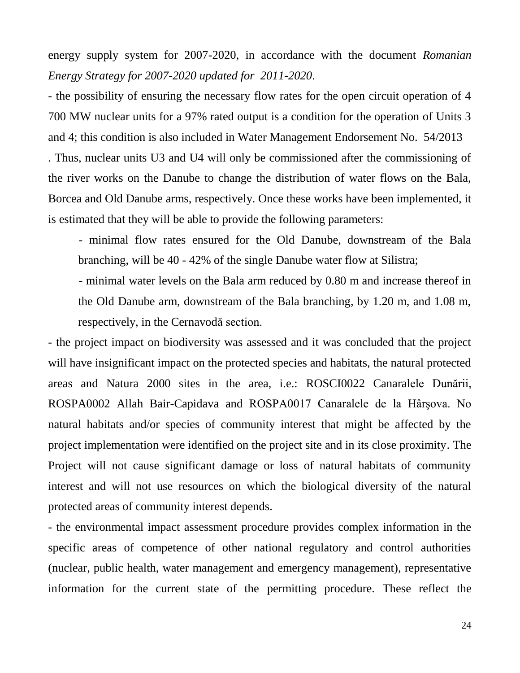energy supply system for 2007-2020, in accordance with the document *Romanian Energy Strategy for 2007-2020 updated for 2011-2020*.

- the possibility of ensuring the necessary flow rates for the open circuit operation of 4 700 MW nuclear units for a 97% rated output is a condition for the operation of Units 3 and 4; this condition is also included in Water Management Endorsement No. 54/2013 . Thus, nuclear units U3 and U4 will only be commissioned after the commissioning of the river works on the Danube to change the distribution of water flows on the Bala, Borcea and Old Danube arms, respectively. Once these works have been implemented, it is estimated that they will be able to provide the following parameters:

- minimal flow rates ensured for the Old Danube, downstream of the Bala branching, will be 40 - 42% of the single Danube water flow at Silistra;

- minimal water levels on the Bala arm reduced by 0.80 m and increase thereof in the Old Danube arm, downstream of the Bala branching, by 1.20 m, and 1.08 m, respectively, in the Cernavodă section.

- the project impact on biodiversity was assessed and it was concluded that the project will have insignificant impact on the protected species and habitats, the natural protected areas and Natura 2000 sites in the area, i.e.: ROSCI0022 Canaralele Dunării, ROSPA0002 Allah Bair-Capidava and ROSPA0017 Canaralele de la Hârşova. No natural habitats and/or species of community interest that might be affected by the project implementation were identified on the project site and in its close proximity. The Project will not cause significant damage or loss of natural habitats of community interest and will not use resources on which the biological diversity of the natural protected areas of community interest depends.

- the environmental impact assessment procedure provides complex information in the specific areas of competence of other national regulatory and control authorities (nuclear, public health, water management and emergency management), representative information for the current state of the permitting procedure. These reflect the

24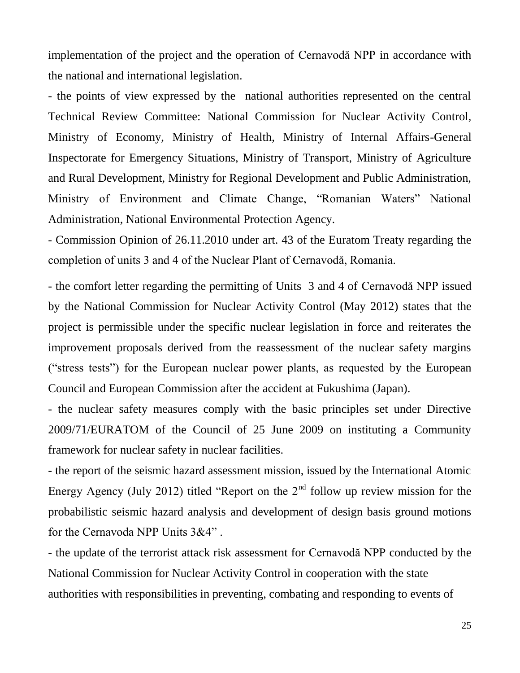implementation of the project and the operation of Cernavodă NPP in accordance with the national and international legislation.

- the points of view expressed by the national authorities represented on the central Technical Review Committee: National Commission for Nuclear Activity Control, Ministry of Economy, Ministry of Health, Ministry of Internal Affairs-General Inspectorate for Emergency Situations, Ministry of Transport, Ministry of Agriculture and Rural Development, Ministry for Regional Development and Public Administration, Ministry of Environment and Climate Change, "Romanian Waters" National Administration, National Environmental Protection Agency.

- Commission Opinion of 26.11.2010 under art. 43 of the Euratom Treaty regarding the completion of units 3 and 4 of the Nuclear Plant of Cernavodă, Romania.

- the comfort letter regarding the permitting of Units 3 and 4 of Cernavodă NPP issued by the National Commission for Nuclear Activity Control (May 2012) states that the project is permissible under the specific nuclear legislation in force and reiterates the improvement proposals derived from the reassessment of the nuclear safety margins ("stress tests") for the European nuclear power plants, as requested by the European Council and European Commission after the accident at Fukushima (Japan).

- the nuclear safety measures comply with the basic principles set under Directive 2009/71/EURATOM of the Council of 25 June 2009 on instituting a Community framework for nuclear safety in nuclear facilities.

- the report of the seismic hazard assessment mission, issued by the International Atomic Energy Agency (July 2012) titled "Report on the  $2<sup>nd</sup>$  follow up review mission for the probabilistic seismic hazard analysis and development of design basis ground motions for the Cernavoda NPP Units 3&4" .

- the update of the terrorist attack risk assessment for Cernavodă NPP conducted by the National Commission for Nuclear Activity Control in cooperation with the state authorities with responsibilities in preventing, combating and responding to events of

25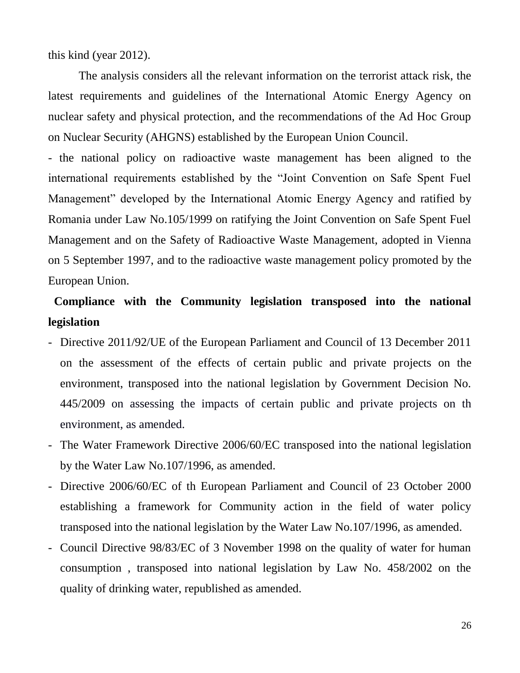this kind (year 2012).

The analysis considers all the relevant information on the terrorist attack risk, the latest requirements and guidelines of the International Atomic Energy Agency on nuclear safety and physical protection, and the recommendations of the Ad Hoc Group on Nuclear Security (AHGNS) established by the European Union Council.

- the national policy on radioactive waste management has been aligned to the international requirements established by the "Joint Convention on Safe Spent Fuel Management" developed by the International Atomic Energy Agency and ratified by Romania under Law No.105/1999 on ratifying the Joint Convention on Safe Spent Fuel Management and on the Safety of Radioactive Waste Management, adopted in Vienna on 5 September 1997, and to the radioactive waste management policy promoted by the European Union.

# **Compliance with the Community legislation transposed into the national legislation**

- Directive 2011/92/UE of the European Parliament and Council of 13 December 2011 on the assessment of the effects of certain public and private projects on the environment, transposed into the national legislation by Government Decision No. 445/2009 on assessing the impacts of certain public and private projects on th environment, as amended.
- The Water Framework Directive 2006/60/EC transposed into the national legislation by the Water Law No.107/1996, as amended.
- Directive 2006/60/EC of th European Parliament and Council of 23 October 2000 establishing a framework for Community action in the field of water policy transposed into the national legislation by the Water Law No.107/1996, as amended.
- Council Directive 98/83/EC of 3 November 1998 on the quality of water for human consumption , transposed into national legislation by Law No. 458/2002 on the quality of drinking water, republished as amended.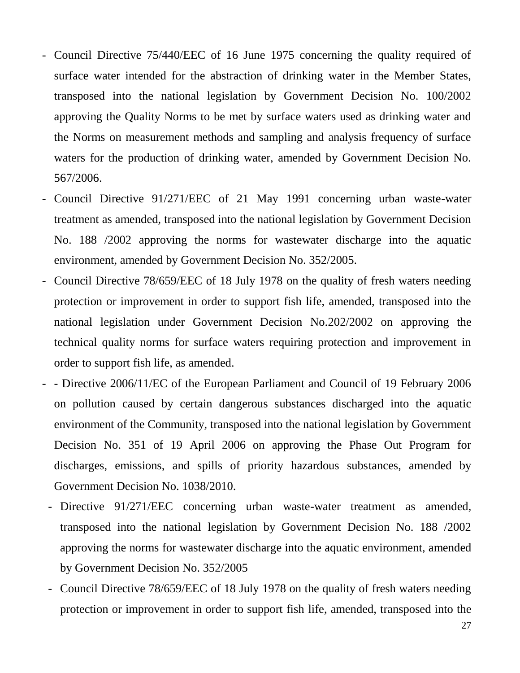- Council Directive 75/440/EEC of 16 June 1975 concerning the quality required of surface water intended for the abstraction of drinking water in the Member States, transposed into the national legislation by Government Decision No. 100/2002 approving the Quality Norms to be met by surface waters used as drinking water and the Norms on measurement methods and sampling and analysis frequency of surface waters for the production of drinking water, amended by Government Decision No. 567/2006.
- Council Directive 91/271/EEC of 21 May 1991 concerning urban waste-water treatment as amended, transposed into the national legislation by Government Decision No. 188 /2002 approving the norms for wastewater discharge into the aquatic environment, amended by Government Decision No. 352/2005.
- Council Directive 78/659/EEC of 18 July 1978 on the quality of fresh waters needing protection or improvement in order to support fish life, amended, transposed into the national legislation under Government Decision No.202/2002 on approving the technical quality norms for surface waters requiring protection and improvement in order to support fish life, as amended.
- - Directive 2006/11/EC of the European Parliament and Council of 19 February 2006 on pollution caused by certain dangerous substances discharged into the aquatic environment of the Community, transposed into the national legislation by Government Decision No. 351 of 19 April 2006 on approving the Phase Out Program for discharges, emissions, and spills of priority hazardous substances, amended by Government Decision No. 1038/2010.
	- Directive 91/271/EEC concerning urban waste-water treatment as amended, transposed into the national legislation by Government Decision No. 188 /2002 approving the norms for wastewater discharge into the aquatic environment, amended by Government Decision No. 352/2005
	- Council Directive 78/659/EEC of 18 July 1978 on the quality of fresh waters needing protection or improvement in order to support fish life, amended, transposed into the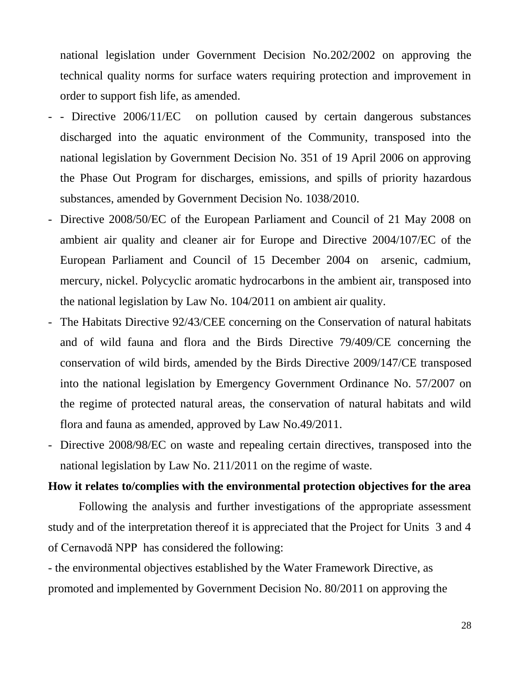national legislation under Government Decision No.202/2002 on approving the technical quality norms for surface waters requiring protection and improvement in order to support fish life, as amended.

- - Directive 2006/11/EC on pollution caused by certain dangerous substances discharged into the aquatic environment of the Community, transposed into the national legislation by Government Decision No. 351 of 19 April 2006 on approving the Phase Out Program for discharges, emissions, and spills of priority hazardous substances, amended by Government Decision No. 1038/2010.
- Directive 2008/50/EC of the European Parliament and Council of 21 May 2008 on ambient air quality and cleaner air for Europe and Directive 2004/107/EC of the European Parliament and Council of 15 December 2004 on arsenic, cadmium, mercury, nickel. Polycyclic aromatic hydrocarbons in the ambient air, transposed into the national legislation by Law No. 104/2011 on ambient air quality.
- The Habitats Directive 92/43/CEE concerning on the Conservation of natural habitats and of wild fauna and flora and the Birds Directive 79/409/CE concerning the conservation of wild birds, amended by the Birds Directive 2009/147/CE transposed into the national legislation by Emergency Government Ordinance No. 57/2007 on the regime of protected natural areas, the conservation of natural habitats and wild flora and fauna as amended, approved by Law No.49/2011.
- Directive 2008/98/EC on waste and repealing certain directives, transposed into the national legislation by Law No. 211/2011 on the regime of waste.

#### **How it relates to/complies with the environmental protection objectives for the area**

Following the analysis and further investigations of the appropriate assessment study and of the interpretation thereof it is appreciated that the Project for Units 3 and 4 of Cernavodă NPP has considered the following:

- the environmental objectives established by the Water Framework Directive, as promoted and implemented by Government Decision No. 80/2011 on approving the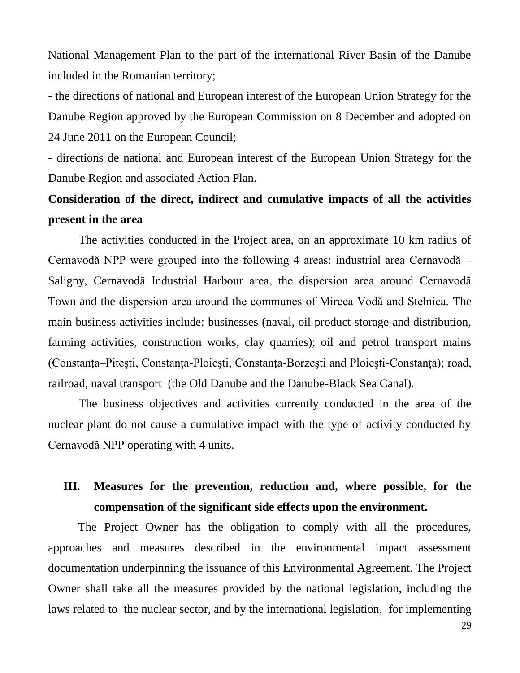National Management Plan to the part of the international River Basin of the Danube included in the Romanian territory;

- the directions of national and European interest of the European Union Strategy for the Danube Region approved by the European Commission on 8 December and adopted on 24 June 2011 on the European Council;

- directions de national and European interest of the European Union Strategy for the Danube Region and associated Action Plan.

# **Consideration of the direct, indirect and cumulative impacts of all the activities present in the area**

The activities conducted in the Project area, on an approximate 10 km radius of Cernavodă NPP were grouped into the following 4 areas: industrial area Cernavodă – Saligny, Cernavodă Industrial Harbour area, the dispersion area around Cernavodă Town and the dispersion area around the communes of Mircea Vodă and Stelnica. The main business activities include: businesses (naval, oil product storage and distribution, farming activities, construction works, clay quarries); oil and petrol transport mains (Constanţa–Piteşti, Constanţa-Ploieşti, Constanţa-Borzeşti and Ploieşti-Constanţa); road, railroad, naval transport (the Old Danube and the Danube-Black Sea Canal).

The business objectives and activities currently conducted in the area of the nuclear plant do not cause a cumulative impact with the type of activity conducted by Cernavodă NPP operating with 4 units.

# **III. Measures for the prevention, reduction and, where possible, for the compensation of the significant side effects upon the environment.**

The Project Owner has the obligation to comply with all the procedures, approaches and measures described in the environmental impact assessment documentation underpinning the issuance of this Environmental Agreement. The Project Owner shall take all the measures provided by the national legislation, including the laws related to the nuclear sector, and by the international legislation, for implementing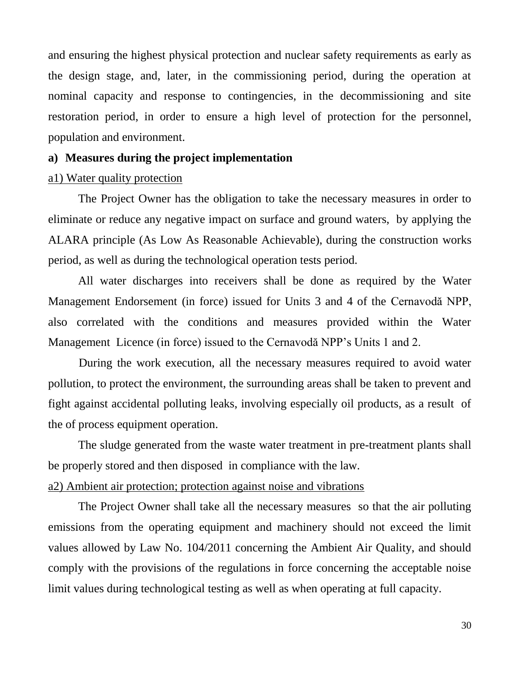and ensuring the highest physical protection and nuclear safety requirements as early as the design stage, and, later, in the commissioning period, during the operation at nominal capacity and response to contingencies, in the decommissioning and site restoration period, in order to ensure a high level of protection for the personnel, population and environment.

#### **a) Measures during the project implementation**

#### a1) Water quality protection

The Project Owner has the obligation to take the necessary measures in order to eliminate or reduce any negative impact on surface and ground waters, by applying the ALARA principle (As Low As Reasonable Achievable), during the construction works period, as well as during the technological operation tests period.

All water discharges into receivers shall be done as required by the Water Management Endorsement (in force) issued for Units 3 and 4 of the Cernavodă NPP, also correlated with the conditions and measures provided within the Water Management Licence (in force) issued to the Cernavodă NPP's Units 1 and 2.

During the work execution, all the necessary measures required to avoid water pollution, to protect the environment, the surrounding areas shall be taken to prevent and fight against accidental polluting leaks, involving especially oil products, as a result of the of process equipment operation.

The sludge generated from the waste water treatment in pre-treatment plants shall be properly stored and then disposed in compliance with the law.

### a2) Ambient air protection; protection against noise and vibrations

The Project Owner shall take all the necessary measures so that the air polluting emissions from the operating equipment and machinery should not exceed the limit values allowed by Law No. 104/2011 concerning the Ambient Air Quality, and should comply with the provisions of the regulations in force concerning the acceptable noise limit values during technological testing as well as when operating at full capacity.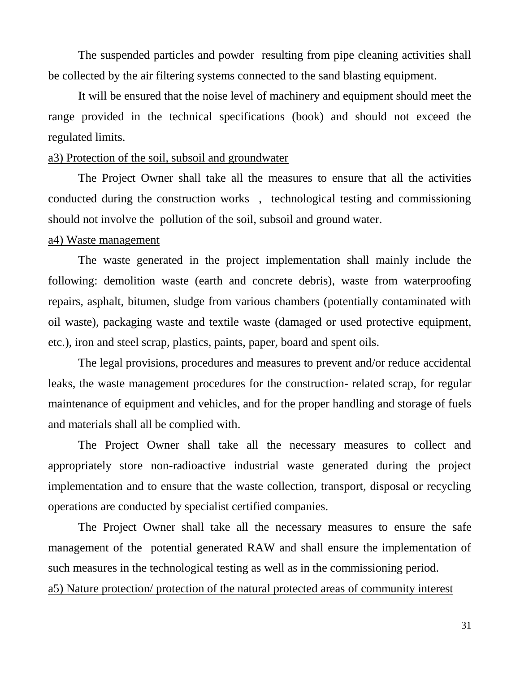The suspended particles and powder resulting from pipe cleaning activities shall be collected by the air filtering systems connected to the sand blasting equipment.

It will be ensured that the noise level of machinery and equipment should meet the range provided in the technical specifications (book) and should not exceed the regulated limits.

# a3) Protection of the soil, subsoil and groundwater

The Project Owner shall take all the measures to ensure that all the activities conducted during the construction works , technological testing and commissioning should not involve the pollution of the soil, subsoil and ground water.

#### a4) Waste management

The waste generated in the project implementation shall mainly include the following: demolition waste (earth and concrete debris), waste from waterproofing repairs, asphalt, bitumen, sludge from various chambers (potentially contaminated with oil waste), packaging waste and textile waste (damaged or used protective equipment, etc.), iron and steel scrap, plastics, paints, paper, board and spent oils.

The legal provisions, procedures and measures to prevent and/or reduce accidental leaks, the waste management procedures for the construction- related scrap, for regular maintenance of equipment and vehicles, and for the proper handling and storage of fuels and materials shall all be complied with.

The Project Owner shall take all the necessary measures to collect and appropriately store non-radioactive industrial waste generated during the project implementation and to ensure that the waste collection, transport, disposal or recycling operations are conducted by specialist certified companies.

The Project Owner shall take all the necessary measures to ensure the safe management of the potential generated RAW and shall ensure the implementation of such measures in the technological testing as well as in the commissioning period. a5) Nature protection/ protection of the natural protected areas of community interest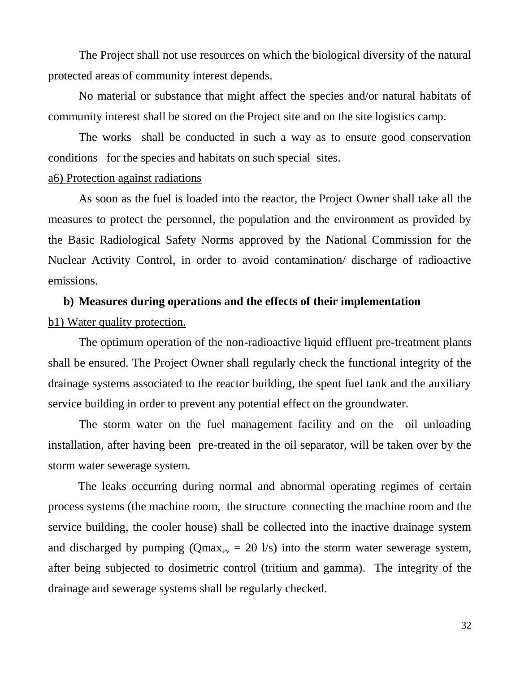The Project shall not use resources on which the biological diversity of the natural protected areas of community interest depends.

No material or substance that might affect the species and/or natural habitats of community interest shall be stored on the Project site and on the site logistics camp.

The works shall be conducted in such a way as to ensure good conservation conditions for the species and habitats on such special sites.

#### a6) Protection against radiations

As soon as the fuel is loaded into the reactor, the Project Owner shall take all the measures to protect the personnel, the population and the environment as provided by the Basic Radiological Safety Norms approved by the National Commission for the Nuclear Activity Control, in order to avoid contamination/ discharge of radioactive emissions.

#### **b) Measures during operations and the effects of their implementation**

#### b1) Water quality protection.

The optimum operation of the non-radioactive liquid effluent pre-treatment plants shall be ensured. The Project Owner shall regularly check the functional integrity of the drainage systems associated to the reactor building, the spent fuel tank and the auxiliary service building in order to prevent any potential effect on the groundwater.

The storm water on the fuel management facility and on the oil unloading installation, after having been pre-treated in the oil separator, will be taken over by the storm water sewerage system.

The leaks occurring during normal and abnormal operating regimes of certain process systems (the machine room, the structure connecting the machine room and the service building, the cooler house) shall be collected into the inactive drainage system and discharged by pumping ( $Qmax_{ev} = 20$  l/s) into the storm water sewerage system, after being subjected to dosimetric control (tritium and gamma). The integrity of the drainage and sewerage systems shall be regularly checked.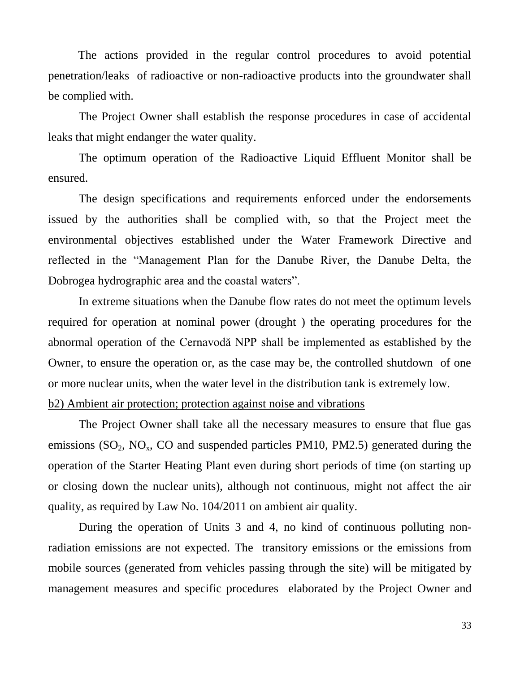The actions provided in the regular control procedures to avoid potential penetration/leaks of radioactive or non-radioactive products into the groundwater shall be complied with.

The Project Owner shall establish the response procedures in case of accidental leaks that might endanger the water quality.

The optimum operation of the Radioactive Liquid Effluent Monitor shall be ensured.

The design specifications and requirements enforced under the endorsements issued by the authorities shall be complied with, so that the Project meet the environmental objectives established under the Water Framework Directive and reflected in the "Management Plan for the Danube River, the Danube Delta, the Dobrogea hydrographic area and the coastal waters".

In extreme situations when the Danube flow rates do not meet the optimum levels required for operation at nominal power (drought ) the operating procedures for the abnormal operation of the Cernavodă NPP shall be implemented as established by the Owner, to ensure the operation or, as the case may be, the controlled shutdown of one or more nuclear units, when the water level in the distribution tank is extremely low. b2) Ambient air protection; protection against noise and vibrations

# The Project Owner shall take all the necessary measures to ensure that flue gas emissions  $(SO_2, NO_x, CO$  and suspended particles PM10, PM2.5) generated during the

operation of the Starter Heating Plant even during short periods of time (on starting up or closing down the nuclear units), although not continuous, might not affect the air quality, as required by Law No. 104/2011 on ambient air quality.

During the operation of Units 3 and 4, no kind of continuous polluting nonradiation emissions are not expected. The transitory emissions or the emissions from mobile sources (generated from vehicles passing through the site) will be mitigated by management measures and specific procedures elaborated by the Project Owner and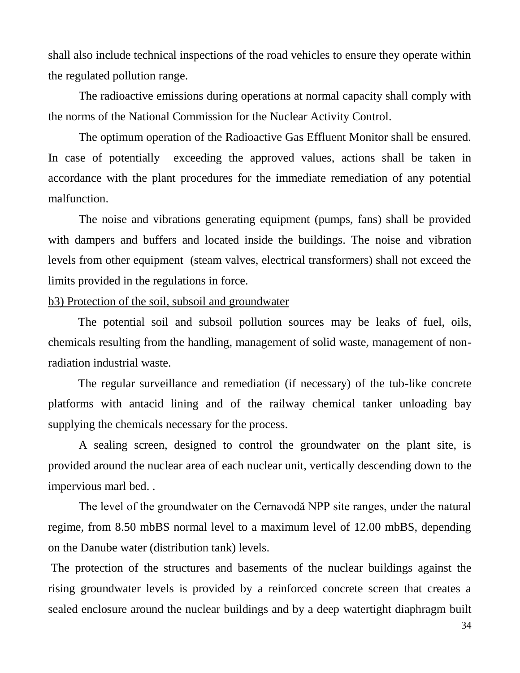shall also include technical inspections of the road vehicles to ensure they operate within the regulated pollution range.

The radioactive emissions during operations at normal capacity shall comply with the norms of the National Commission for the Nuclear Activity Control.

The optimum operation of the Radioactive Gas Effluent Monitor shall be ensured. In case of potentially exceeding the approved values, actions shall be taken in accordance with the plant procedures for the immediate remediation of any potential malfunction.

The noise and vibrations generating equipment (pumps, fans) shall be provided with dampers and buffers and located inside the buildings. The noise and vibration levels from other equipment (steam valves, electrical transformers) shall not exceed the limits provided in the regulations in force.

#### b3) Protection of the soil, subsoil and groundwater

The potential soil and subsoil pollution sources may be leaks of fuel, oils, chemicals resulting from the handling, management of solid waste, management of nonradiation industrial waste.

The regular surveillance and remediation (if necessary) of the tub-like concrete platforms with antacid lining and of the railway chemical tanker unloading bay supplying the chemicals necessary for the process.

A sealing screen, designed to control the groundwater on the plant site, is provided around the nuclear area of each nuclear unit, vertically descending down to the impervious marl bed. .

The level of the groundwater on the Cernavodă NPP site ranges, under the natural regime, from 8.50 mbBS normal level to a maximum level of 12.00 mbBS, depending on the Danube water (distribution tank) levels.

The protection of the structures and basements of the nuclear buildings against the rising groundwater levels is provided by a reinforced concrete screen that creates a sealed enclosure around the nuclear buildings and by a deep watertight diaphragm built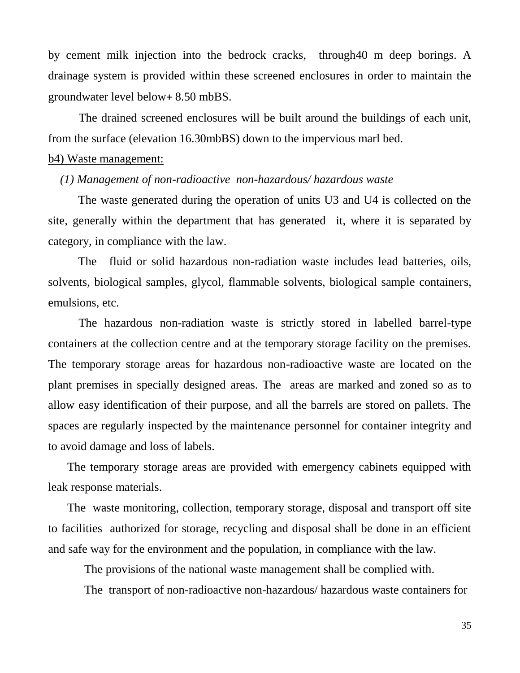by cement milk injection into the bedrock cracks, through40 m deep borings. A drainage system is provided within these screened enclosures in order to maintain the groundwater level below+ 8.50 mbBS.

The drained screened enclosures will be built around the buildings of each unit, from the surface (elevation 16.30mbBS) down to the impervious marl bed.

#### b4) Waste management:

#### *(1) Management of non-radioactive non-hazardous/ hazardous waste*

The waste generated during the operation of units U3 and U4 is collected on the site, generally within the department that has generated it, where it is separated by category, in compliance with the law.

The fluid or solid hazardous non-radiation waste includes lead batteries, oils, solvents, biological samples, glycol, flammable solvents, biological sample containers, emulsions, etc.

The hazardous non-radiation waste is strictly stored in labelled barrel-type containers at the collection centre and at the temporary storage facility on the premises. The temporary storage areas for hazardous non-radioactive waste are located on the plant premises in specially designed areas. The areas are marked and zoned so as to allow easy identification of their purpose, and all the barrels are stored on pallets. The spaces are regularly inspected by the maintenance personnel for container integrity and to avoid damage and loss of labels.

The temporary storage areas are provided with emergency cabinets equipped with leak response materials.

The waste monitoring, collection, temporary storage, disposal and transport off site to facilities authorized for storage, recycling and disposal shall be done in an efficient and safe way for the environment and the population, in compliance with the law.

The provisions of the national waste management shall be complied with.

The transport of non-radioactive non-hazardous/ hazardous waste containers for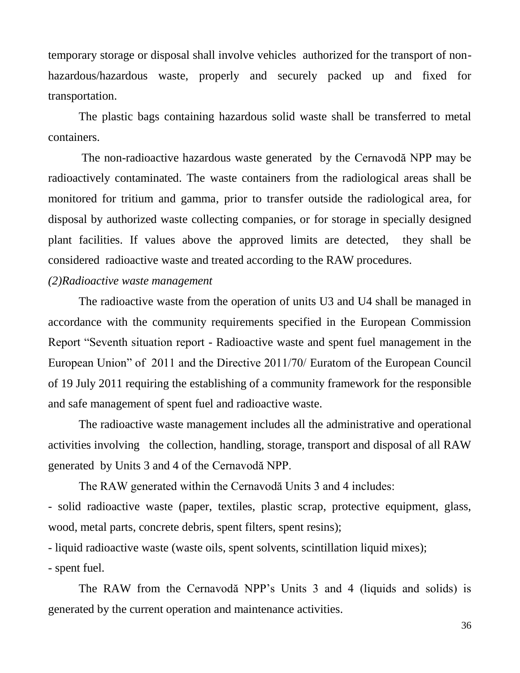temporary storage or disposal shall involve vehicles authorized for the transport of nonhazardous/hazardous waste, properly and securely packed up and fixed for transportation.

The plastic bags containing hazardous solid waste shall be transferred to metal containers.

The non-radioactive hazardous waste generated by the Cernavodă NPP may be radioactively contaminated. The waste containers from the radiological areas shall be monitored for tritium and gamma, prior to transfer outside the radiological area, for disposal by authorized waste collecting companies, or for storage in specially designed plant facilities. If values above the approved limits are detected, they shall be considered radioactive waste and treated according to the RAW procedures.

#### *(2)Radioactive waste management*

The radioactive waste from the operation of units U3 and U4 shall be managed in accordance with the community requirements specified in the European Commission Report "Seventh situation report - Radioactive waste and spent fuel management in the European Union" of 2011 and the Directive 2011/70/ Euratom of the European Council of 19 July 2011 requiring the establishing of a community framework for the responsible and safe management of spent fuel and radioactive waste.

The radioactive waste management includes all the administrative and operational activities involving the collection, handling, storage, transport and disposal of all RAW generated by Units 3 and 4 of the Cernavodă NPP.

The RAW generated within the Cernavodă Units 3 and 4 includes:

- solid radioactive waste (paper, textiles, plastic scrap, protective equipment, glass, wood, metal parts, concrete debris, spent filters, spent resins);

- liquid radioactive waste (waste oils, spent solvents, scintillation liquid mixes);

- spent fuel.

The RAW from the Cernavodă NPP's Units 3 and 4 (liquids and solids) is generated by the current operation and maintenance activities.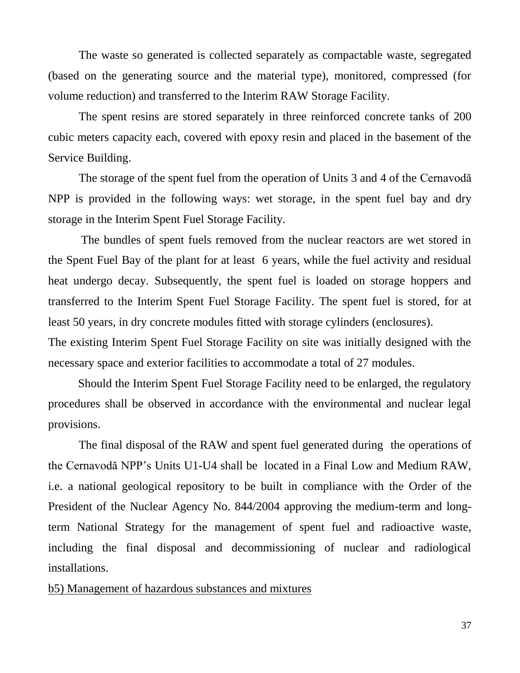The waste so generated is collected separately as compactable waste, segregated (based on the generating source and the material type), monitored, compressed (for volume reduction) and transferred to the Interim RAW Storage Facility.

The spent resins are stored separately in three reinforced concrete tanks of 200 cubic meters capacity each, covered with epoxy resin and placed in the basement of the Service Building.

The storage of the spent fuel from the operation of Units 3 and 4 of the Cernavodă NPP is provided in the following ways: wet storage, in the spent fuel bay and dry storage in the Interim Spent Fuel Storage Facility.

The bundles of spent fuels removed from the nuclear reactors are wet stored in the Spent Fuel Bay of the plant for at least 6 years, while the fuel activity and residual heat undergo decay. Subsequently, the spent fuel is loaded on storage hoppers and transferred to the Interim Spent Fuel Storage Facility. The spent fuel is stored, for at least 50 years, in dry concrete modules fitted with storage cylinders (enclosures).

The existing Interim Spent Fuel Storage Facility on site was initially designed with the necessary space and exterior facilities to accommodate a total of 27 modules.

Should the Interim Spent Fuel Storage Facility need to be enlarged, the regulatory procedures shall be observed in accordance with the environmental and nuclear legal provisions.

The final disposal of the RAW and spent fuel generated during the operations of the Cernavodă NPP's Units U1-U4 shall be located in a Final Low and Medium RAW, i.e. a national geological repository to be built in compliance with the Order of the President of the Nuclear Agency No. 844/2004 approving the medium-term and longterm National Strategy for the management of spent fuel and radioactive waste, including the final disposal and decommissioning of nuclear and radiological installations.

#### b5) Management of hazardous substances and mixtures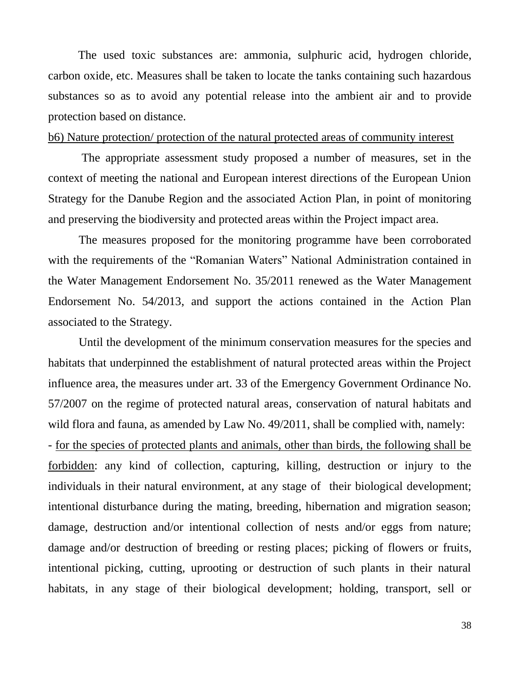The used toxic substances are: ammonia, sulphuric acid, hydrogen chloride, carbon oxide, etc. Measures shall be taken to locate the tanks containing such hazardous substances so as to avoid any potential release into the ambient air and to provide protection based on distance.

## b6) Nature protection/ protection of the natural protected areas of community interest

The appropriate assessment study proposed a number of measures, set in the context of meeting the national and European interest directions of the European Union Strategy for the Danube Region and the associated Action Plan, in point of monitoring and preserving the biodiversity and protected areas within the Project impact area.

The measures proposed for the monitoring programme have been corroborated with the requirements of the "Romanian Waters" National Administration contained in the Water Management Endorsement No. 35/2011 renewed as the Water Management Endorsement No. 54/2013, and support the actions contained in the Action Plan associated to the Strategy.

Until the development of the minimum conservation measures for the species and habitats that underpinned the establishment of natural protected areas within the Project influence area, the measures under art. 33 of the Emergency Government Ordinance No. 57/2007 on the regime of protected natural areas, conservation of natural habitats and wild flora and fauna, as amended by Law No. 49/2011, shall be complied with, namely: - for the species of protected plants and animals, other than birds, the following shall be forbidden: any kind of collection, capturing, killing, destruction or injury to the individuals in their natural environment, at any stage of their biological development; intentional disturbance during the mating, breeding, hibernation and migration season; damage, destruction and/or intentional collection of nests and/or eggs from nature; damage and/or destruction of breeding or resting places; picking of flowers or fruits, intentional picking, cutting, uprooting or destruction of such plants in their natural habitats, in any stage of their biological development; holding, transport, sell or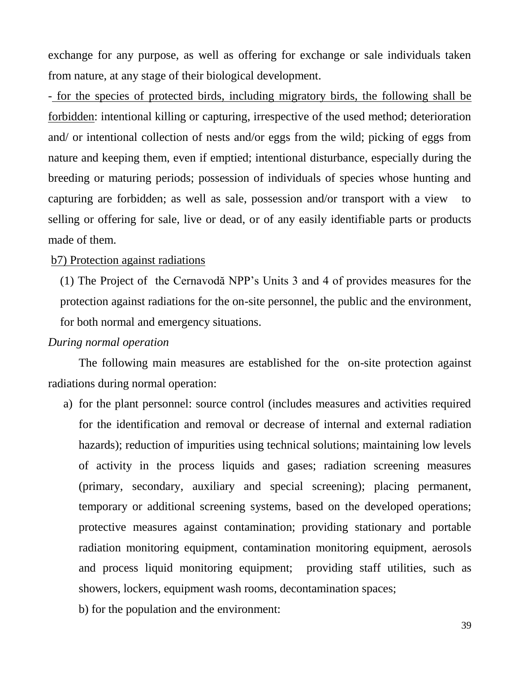exchange for any purpose, as well as offering for exchange or sale individuals taken from nature, at any stage of their biological development.

- for the species of protected birds, including migratory birds, the following shall be forbidden: intentional killing or capturing, irrespective of the used method; deterioration and/ or intentional collection of nests and/or eggs from the wild; picking of eggs from nature and keeping them, even if emptied; intentional disturbance, especially during the breeding or maturing periods; possession of individuals of species whose hunting and capturing are forbidden; as well as sale, possession and/or transport with a view to selling or offering for sale, live or dead, or of any easily identifiable parts or products made of them.

#### b7) Protection against radiations

(1) The Project of the Cernavodă NPP's Units 3 and 4 of provides measures for the protection against radiations for the on-site personnel, the public and the environment, for both normal and emergency situations.

#### *During normal operation*

The following main measures are established for the on-site protection against radiations during normal operation:

- a) for the plant personnel: source control (includes measures and activities required for the identification and removal or decrease of internal and external radiation hazards); reduction of impurities using technical solutions; maintaining low levels of activity in the process liquids and gases; radiation screening measures (primary, secondary, auxiliary and special screening); placing permanent, temporary or additional screening systems, based on the developed operations; protective measures against contamination; providing stationary and portable radiation monitoring equipment, contamination monitoring equipment, aerosols and process liquid monitoring equipment; providing staff utilities, such as showers, lockers, equipment wash rooms, decontamination spaces;
	- b) for the population and the environment: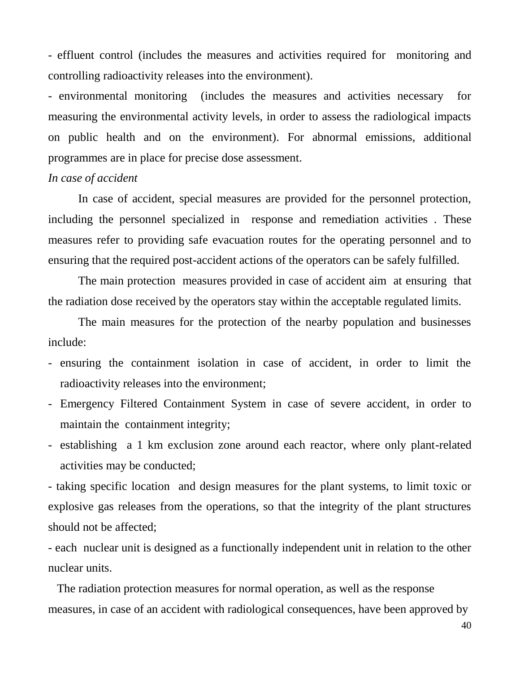- effluent control (includes the measures and activities required for monitoring and controlling radioactivity releases into the environment).

- environmental monitoring (includes the measures and activities necessary for measuring the environmental activity levels, in order to assess the radiological impacts on public health and on the environment). For abnormal emissions, additional programmes are in place for precise dose assessment.

#### *In case of accident*

In case of accident, special measures are provided for the personnel protection, including the personnel specialized in response and remediation activities . These measures refer to providing safe evacuation routes for the operating personnel and to ensuring that the required post-accident actions of the operators can be safely fulfilled.

The main protection measures provided in case of accident aim at ensuring that the radiation dose received by the operators stay within the acceptable regulated limits.

The main measures for the protection of the nearby population and businesses include:

- ensuring the containment isolation in case of accident, in order to limit the radioactivity releases into the environment;
- Emergency Filtered Containment System in case of severe accident, in order to maintain the containment integrity;
- establishing a 1 km exclusion zone around each reactor, where only plant-related activities may be conducted;

- taking specific location and design measures for the plant systems, to limit toxic or explosive gas releases from the operations, so that the integrity of the plant structures should not be affected;

- each nuclear unit is designed as a functionally independent unit in relation to the other nuclear units.

 The radiation protection measures for normal operation, as well as the response measures, in case of an accident with radiological consequences, have been approved by

40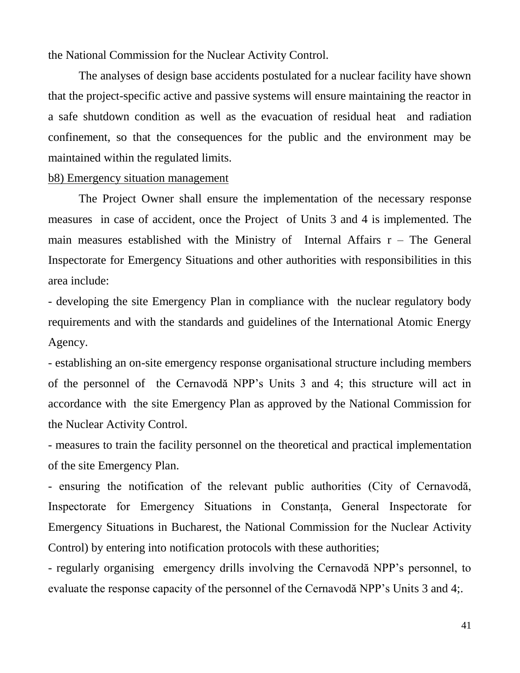the National Commission for the Nuclear Activity Control.

The analyses of design base accidents postulated for a nuclear facility have shown that the project-specific active and passive systems will ensure maintaining the reactor in a safe shutdown condition as well as the evacuation of residual heat and radiation confinement, so that the consequences for the public and the environment may be maintained within the regulated limits.

#### b8) Emergency situation management

The Project Owner shall ensure the implementation of the necessary response measures in case of accident, once the Project of Units 3 and 4 is implemented. The main measures established with the Ministry of Internal Affairs  $r -$  The General Inspectorate for Emergency Situations and other authorities with responsibilities in this area include:

- developing the site Emergency Plan in compliance with the nuclear regulatory body requirements and with the standards and guidelines of the International Atomic Energy Agency.

- establishing an on-site emergency response organisational structure including members of the personnel of the Cernavodă NPP's Units 3 and 4; this structure will act in accordance with the site Emergency Plan as approved by the National Commission for the Nuclear Activity Control.

- measures to train the facility personnel on the theoretical and practical implementation of the site Emergency Plan.

- ensuring the notification of the relevant public authorities (City of Cernavodă, Inspectorate for Emergency Situations in Constanta, General Inspectorate for Emergency Situations in Bucharest, the National Commission for the Nuclear Activity Control) by entering into notification protocols with these authorities;

- regularly organising emergency drills involving the Cernavodă NPP's personnel, to evaluate the response capacity of the personnel of the Cernavodă NPP's Units 3 and 4;.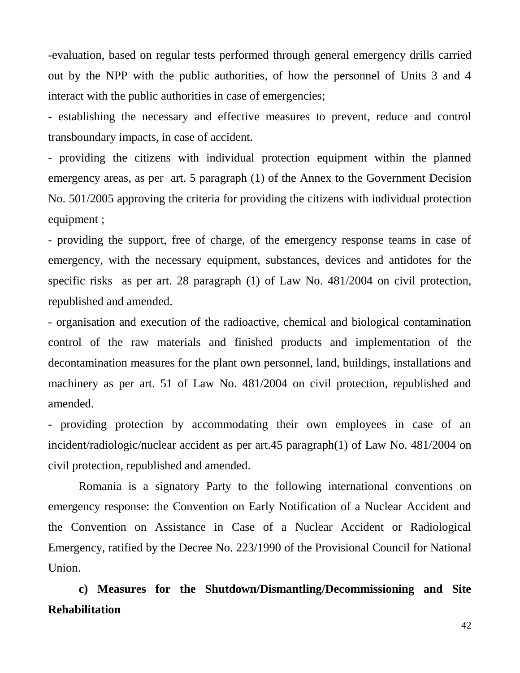-evaluation, based on regular tests performed through general emergency drills carried out by the NPP with the public authorities, of how the personnel of Units 3 and 4 interact with the public authorities in case of emergencies;

- establishing the necessary and effective measures to prevent, reduce and control transboundary impacts, in case of accident.

- providing the citizens with individual protection equipment within the planned emergency areas, as per art. 5 paragraph (1) of the Annex to the Government Decision No. 501/2005 approving the criteria for providing the citizens with individual protection equipment ;

- providing the support, free of charge, of the emergency response teams in case of emergency, with the necessary equipment, substances, devices and antidotes for the specific risks as per art. 28 paragraph (1) of Law No. 481/2004 on civil protection, republished and amended.

- organisation and execution of the radioactive, chemical and biological contamination control of the raw materials and finished products and implementation of the decontamination measures for the plant own personnel, land, buildings, installations and machinery as per art. 51 of Law No. 481/2004 on civil protection, republished and amended.

- providing protection by accommodating their own employees in case of an incident/radiologic/nuclear accident as per art.45 paragraph(1) of Law No. 481/2004 on civil protection, republished and amended.

Romania is a signatory Party to the following international conventions on emergency response: the Convention on Early Notification of a Nuclear Accident and the Convention on Assistance in Case of a Nuclear Accident or Radiological Emergency, ratified by the Decree No. 223/1990 of the Provisional Council for National Union.

**c) Measures for the Shutdown/Dismantling/Decommissioning and Site Rehabilitation**

42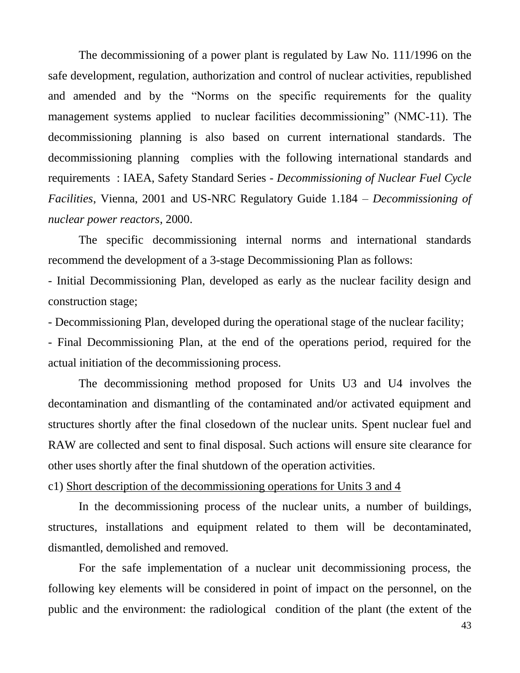The decommissioning of a power plant is regulated by Law No. 111/1996 on the safe development, regulation, authorization and control of nuclear activities, republished and amended and by the "Norms on the specific requirements for the quality management systems applied to nuclear facilities decommissioning" (NMC-11). The decommissioning planning is also based on current international standards. The decommissioning planning complies with the following international standards and requirements : IAEA, Safety Standard Series - *Decommissioning of Nuclear Fuel Cycle Facilities*, Vienna, 2001 and US-NRC Regulatory Guide 1.184 – *Decommissioning of nuclear power reactors*, 2000.

The specific decommissioning internal norms and international standards recommend the development of a 3-stage Decommissioning Plan as follows:

- Initial Decommissioning Plan, developed as early as the nuclear facility design and construction stage;

- Decommissioning Plan, developed during the operational stage of the nuclear facility;

- Final Decommissioning Plan, at the end of the operations period, required for the actual initiation of the decommissioning process.

The decommissioning method proposed for Units U3 and U4 involves the decontamination and dismantling of the contaminated and/or activated equipment and structures shortly after the final closedown of the nuclear units. Spent nuclear fuel and RAW are collected and sent to final disposal. Such actions will ensure site clearance for other uses shortly after the final shutdown of the operation activities.

c1) Short description of the decommissioning operations for Units 3 and 4

In the decommissioning process of the nuclear units, a number of buildings, structures, installations and equipment related to them will be decontaminated, dismantled, demolished and removed.

For the safe implementation of a nuclear unit decommissioning process, the following key elements will be considered in point of impact on the personnel, on the public and the environment: the radiological condition of the plant (the extent of the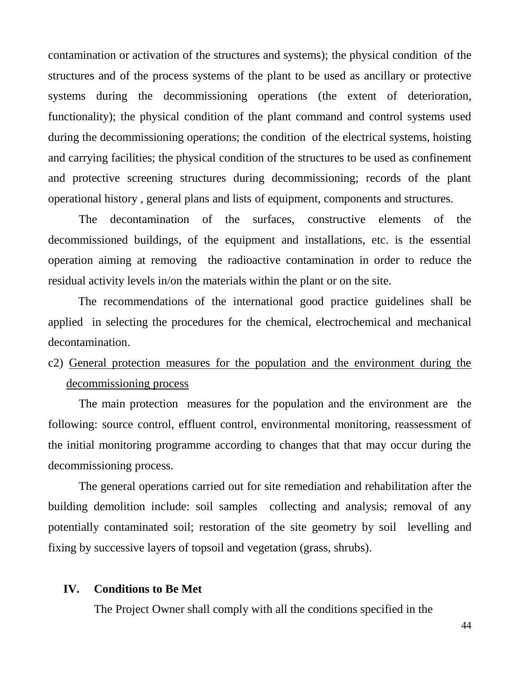contamination or activation of the structures and systems); the physical condition of the structures and of the process systems of the plant to be used as ancillary or protective systems during the decommissioning operations (the extent of deterioration, functionality); the physical condition of the plant command and control systems used during the decommissioning operations; the condition of the electrical systems, hoisting and carrying facilities; the physical condition of the structures to be used as confinement and protective screening structures during decommissioning; records of the plant operational history , general plans and lists of equipment, components and structures.

The decontamination of the surfaces, constructive elements of the decommissioned buildings, of the equipment and installations, etc. is the essential operation aiming at removing the radioactive contamination in order to reduce the residual activity levels in/on the materials within the plant or on the site.

The recommendations of the international good practice guidelines shall be applied in selecting the procedures for the chemical, electrochemical and mechanical decontamination.

# c2) General protection measures for the population and the environment during the decommissioning process

The main protection measures for the population and the environment are the following: source control, effluent control, environmental monitoring, reassessment of the initial monitoring programme according to changes that that may occur during the decommissioning process.

The general operations carried out for site remediation and rehabilitation after the building demolition include: soil samples collecting and analysis; removal of any potentially contaminated soil; restoration of the site geometry by soil levelling and fixing by successive layers of topsoil and vegetation (grass, shrubs).

#### **IV. Conditions to Be Met**

The Project Owner shall comply with all the conditions specified in the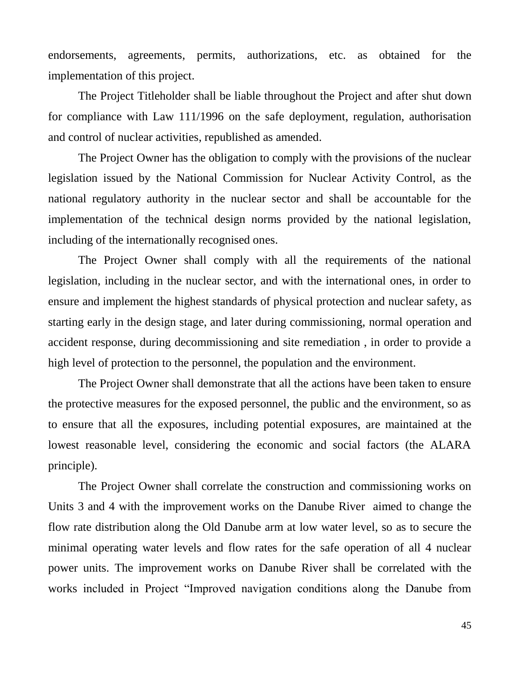endorsements, agreements, permits, authorizations, etc. as obtained for the implementation of this project.

The Project Titleholder shall be liable throughout the Project and after shut down for compliance with Law 111/1996 on the safe deployment, regulation, authorisation and control of nuclear activities, republished as amended.

The Project Owner has the obligation to comply with the provisions of the nuclear legislation issued by the National Commission for Nuclear Activity Control, as the national regulatory authority in the nuclear sector and shall be accountable for the implementation of the technical design norms provided by the national legislation, including of the internationally recognised ones.

The Project Owner shall comply with all the requirements of the national legislation, including in the nuclear sector, and with the international ones, in order to ensure and implement the highest standards of physical protection and nuclear safety, as starting early in the design stage, and later during commissioning, normal operation and accident response, during decommissioning and site remediation , in order to provide a high level of protection to the personnel, the population and the environment.

The Project Owner shall demonstrate that all the actions have been taken to ensure the protective measures for the exposed personnel, the public and the environment, so as to ensure that all the exposures, including potential exposures, are maintained at the lowest reasonable level, considering the economic and social factors (the ALARA principle).

The Project Owner shall correlate the construction and commissioning works on Units 3 and 4 with the improvement works on the Danube River aimed to change the flow rate distribution along the Old Danube arm at low water level, so as to secure the minimal operating water levels and flow rates for the safe operation of all 4 nuclear power units. The improvement works on Danube River shall be correlated with the works included in Project "Improved navigation conditions along the Danube from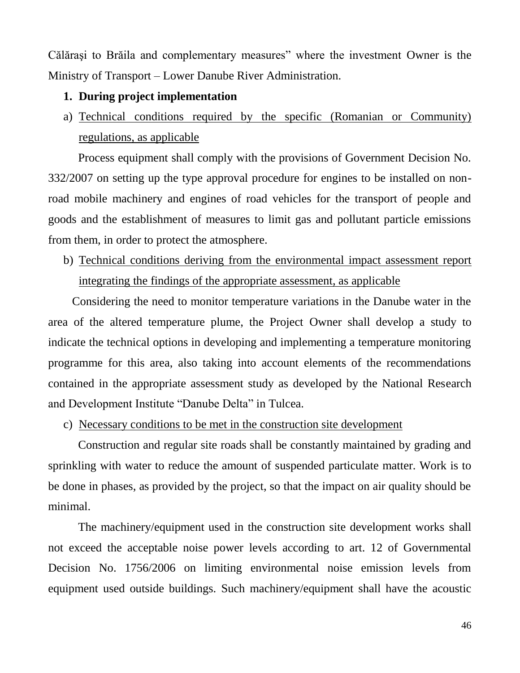Călăraşi to Brăila and complementary measures" where the investment Owner is the Ministry of Transport – Lower Danube River Administration.

## **1. During project implementation**

a) Technical conditions required by the specific (Romanian or Community) regulations, as applicable

Process equipment shall comply with the provisions of Government Decision No. 332/2007 on setting up the type approval procedure for engines to be installed on nonroad mobile machinery and engines of road vehicles for the transport of people and goods and the establishment of measures to limit gas and pollutant particle emissions from them, in order to protect the atmosphere.

b) Technical conditions deriving from the environmental impact assessment report integrating the findings of the appropriate assessment, as applicable

Considering the need to monitor temperature variations in the Danube water in the area of the altered temperature plume, the Project Owner shall develop a study to indicate the technical options in developing and implementing a temperature monitoring programme for this area, also taking into account elements of the recommendations contained in the appropriate assessment study as developed by the National Research and Development Institute "Danube Delta" in Tulcea.

c) Necessary conditions to be met in the construction site development

Construction and regular site roads shall be constantly maintained by grading and sprinkling with water to reduce the amount of suspended particulate matter. Work is to be done in phases, as provided by the project, so that the impact on air quality should be minimal.

The machinery/equipment used in the construction site development works shall not exceed the acceptable noise power levels according to art. 12 of Governmental Decision No. 1756/2006 on limiting environmental noise emission levels from equipment used outside buildings. Such machinery/equipment shall have the acoustic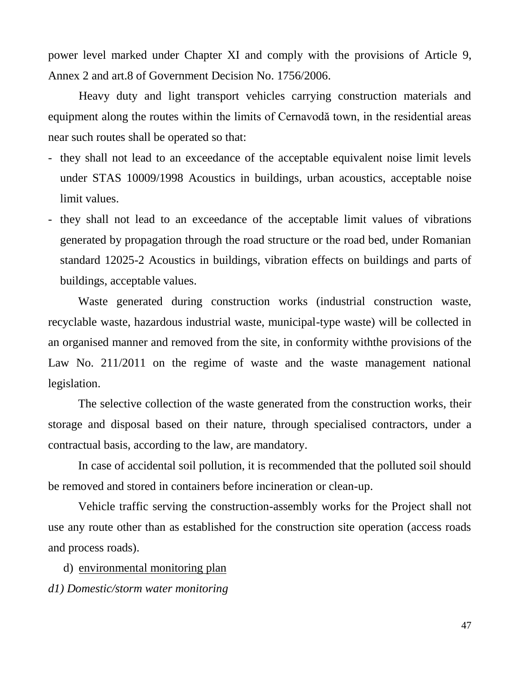power level marked under Chapter XI and comply with the provisions of Article 9, Annex 2 and art.8 of Government Decision No. 1756/2006.

Heavy duty and light transport vehicles carrying construction materials and equipment along the routes within the limits of Cernavodă town, in the residential areas near such routes shall be operated so that:

- they shall not lead to an exceedance of the acceptable equivalent noise limit levels under STAS 10009/1998 Acoustics in buildings, urban acoustics, acceptable noise limit values.
- they shall not lead to an exceedance of the acceptable limit values of vibrations generated by propagation through the road structure or the road bed, under Romanian standard 12025-2 Acoustics in buildings, vibration effects on buildings and parts of buildings, acceptable values.

Waste generated during construction works (industrial construction waste, recyclable waste, hazardous industrial waste, municipal-type waste) will be collected in an organised manner and removed from the site, in conformity withthe provisions of the Law No. 211/2011 on the regime of waste and the waste management national legislation.

The selective collection of the waste generated from the construction works, their storage and disposal based on their nature, through specialised contractors, under a contractual basis, according to the law, are mandatory.

In case of accidental soil pollution, it is recommended that the polluted soil should be removed and stored in containers before incineration or clean-up.

Vehicle traffic serving the construction-assembly works for the Project shall not use any route other than as established for the construction site operation (access roads and process roads).

d) environmental monitoring plan *d1) Domestic/storm water monitoring*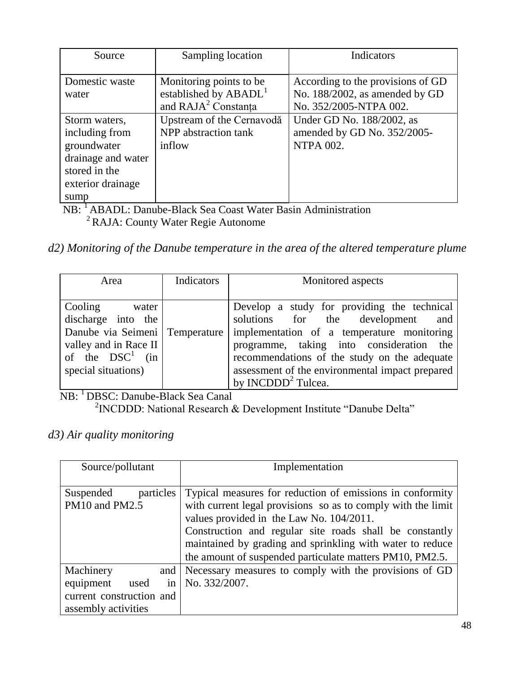| Source             | Sampling location                 | Indicators                        |
|--------------------|-----------------------------------|-----------------------------------|
|                    |                                   |                                   |
| Domestic waste     | Monitoring points to be           | According to the provisions of GD |
| water              | established by ABADL <sup>1</sup> | No. 188/2002, as amended by GD    |
|                    | and RAJA <sup>2</sup> Constanta   | No. 352/2005-NTPA 002.            |
| Storm waters,      | Upstream of the Cernavodă         | Under GD No. 188/2002, as         |
| including from     | NPP abstraction tank              | amended by GD No. 352/2005-       |
| groundwater        | inflow                            | <b>NTPA 002.</b>                  |
| drainage and water |                                   |                                   |
| stored in the      |                                   |                                   |
| exterior drainage  |                                   |                                   |
| sump               |                                   |                                   |

NB: <sup>1</sup>ABADL: Danube-Black Sea Coast Water Basin Administration <sup>2</sup> RAJA: County Water Regie Autonome

*d2) Monitoring of the Danube temperature in the area of the altered temperature plume* 

| Area                                                                                                                                           | Indicators | Monitored aspects                                                                                                                                                                                                                                                                                                  |
|------------------------------------------------------------------------------------------------------------------------------------------------|------------|--------------------------------------------------------------------------------------------------------------------------------------------------------------------------------------------------------------------------------------------------------------------------------------------------------------------|
| Cooling<br>water<br>discharge into the<br>Danube via Seimeni Temperature<br>valley and in Race II<br>of the $DSC^1$ (in<br>special situations) |            | Develop a study for providing the technical<br>solutions for the development<br>and<br>implementation of a temperature monitoring<br>programme, taking into consideration the<br>recommendations of the study on the adequate<br>assessment of the environmental impact prepared<br>by INCDDD <sup>2</sup> Tulcea. |

 NB: <sup>1</sup>DBSC: Danube-Black Sea Canal <sup>2</sup> INCDDD: National Research & Development Institute "Danube Delta"

# *d3) Air quality monitoring*

| Source/pollutant                                | Implementation                                                                                                                                                                                                                                                                                                                                            |
|-------------------------------------------------|-----------------------------------------------------------------------------------------------------------------------------------------------------------------------------------------------------------------------------------------------------------------------------------------------------------------------------------------------------------|
| particles<br>Suspended<br>PM10 and PM2.5        | Typical measures for reduction of emissions in conformity<br>with current legal provisions so as to comply with the limit<br>values provided in the Law No. 104/2011.<br>Construction and regular site roads shall be constantly<br>maintained by grading and sprinkling with water to reduce<br>the amount of suspended particulate matters PM10, PM2.5. |
| Machinery<br>and<br>equipment<br>used<br>in.    | Necessary measures to comply with the provisions of GD<br>No. 332/2007.                                                                                                                                                                                                                                                                                   |
| current construction and<br>assembly activities |                                                                                                                                                                                                                                                                                                                                                           |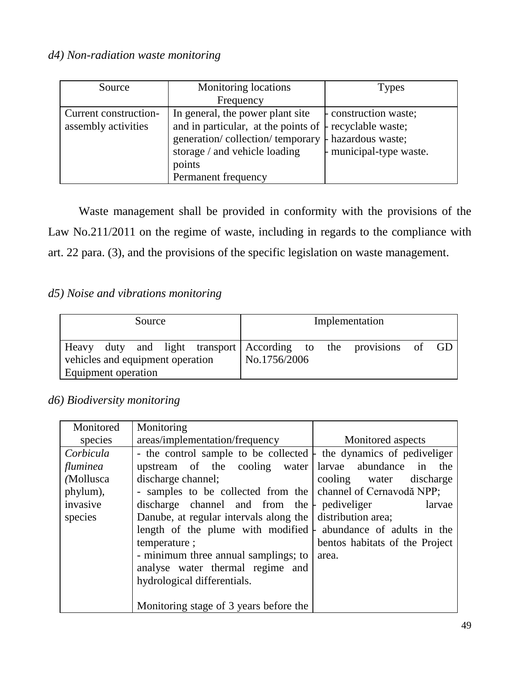# *d4) Non-radiation waste monitoring*

| Source                | <b>Monitoring locations</b>                                    | Types                 |
|-----------------------|----------------------------------------------------------------|-----------------------|
|                       | Frequency                                                      |                       |
| Current construction- | In general, the power plant site                               | - construction waste; |
| assembly activities   | and in particular, at the points of $\vdash$ recyclable waste; |                       |
|                       | generation/collection/temporary $\vdash$ hazardous waste;      |                       |
|                       | storage / and vehicle loading                                  | municipal-type waste. |
|                       | points                                                         |                       |
|                       | Permanent frequency                                            |                       |

Waste management shall be provided in conformity with the provisions of the Law No.211/2011 on the regime of waste, including in regards to the compliance with art. 22 para. (3), and the provisions of the specific legislation on waste management.

# *d5) Noise and vibrations monitoring*

| Source                                    |  |  |  |  | Implementation |  |                                                            |  |
|-------------------------------------------|--|--|--|--|----------------|--|------------------------------------------------------------|--|
| Heavy<br>vehicles and equipment operation |  |  |  |  | No.1756/2006   |  | duty and light transport According to the provisions of GD |  |
| Equipment operation                       |  |  |  |  |                |  |                                                            |  |

# *d6) Biodiversity monitoring*

| Monitored | Monitoring                                                                |                                |
|-----------|---------------------------------------------------------------------------|--------------------------------|
| species   | areas/implementation/frequency                                            | Monitored aspects              |
| Corbicula | - the control sample to be collected $\vdash$ the dynamics of pediveliger |                                |
| fluminea  | upstream of the cooling water abundance in                                | the                            |
| (Mollusca | discharge channel;                                                        | cooling water discharge        |
| phylum),  | - samples to be collected from the                                        | channel of Cernavodă NPP;      |
| invasive  | discharge channel and from the $\vdash$ pediveliger                       | larvae                         |
| species   | Danube, at regular intervals along the distribution area;                 |                                |
|           | length of the plume with modified $\vdash$ abundance of adults in the     |                                |
|           | temperature;                                                              | bentos habitats of the Project |
|           | - minimum three annual samplings; to                                      | area.                          |
|           | analyse water thermal regime and                                          |                                |
|           | hydrological differentials.                                               |                                |
|           |                                                                           |                                |
|           | Monitoring stage of 3 years before the                                    |                                |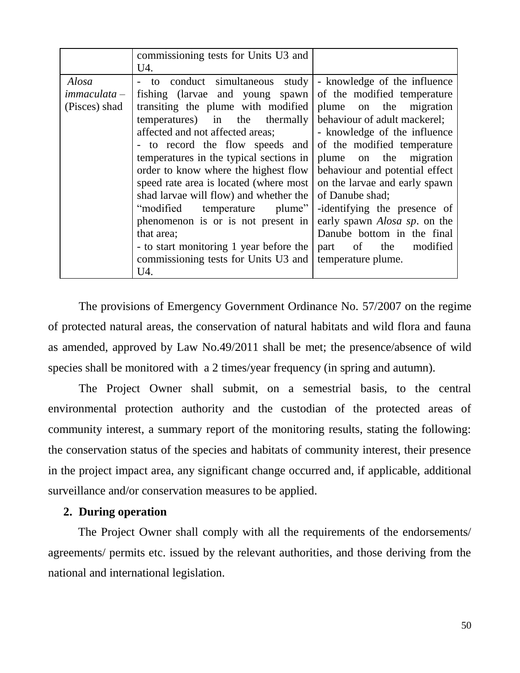|                                        | commissioning tests for Units U3 and                                                                                                                                                                                                                                                                                                                                                                                                                                                                                                                                         |                                                                                                                                                                                                                                                                                                                                                                                                                                                            |
|----------------------------------------|------------------------------------------------------------------------------------------------------------------------------------------------------------------------------------------------------------------------------------------------------------------------------------------------------------------------------------------------------------------------------------------------------------------------------------------------------------------------------------------------------------------------------------------------------------------------------|------------------------------------------------------------------------------------------------------------------------------------------------------------------------------------------------------------------------------------------------------------------------------------------------------------------------------------------------------------------------------------------------------------------------------------------------------------|
| Alosa<br>immaculata –<br>(Pisces) shad | U4.<br>to conduct simultaneous study<br>fishing (larvae and young spawn)<br>transiting the plume with modified<br>temperatures) in the thermally<br>affected and not affected areas;<br>- to record the flow speeds and<br>temperatures in the typical sections in<br>order to know where the highest flow<br>speed rate area is located (where most<br>shad larvae will flow) and whether the<br>"modified temperature plume"<br>phenomenon is or is not present in<br>that area;<br>- to start monitoring 1 year before the<br>commissioning tests for Units U3 and<br>U4. | - knowledge of the influence<br>of the modified temperature<br>plume on the migration<br>behaviour of adult mackerel;<br>- knowledge of the influence<br>of the modified temperature<br>plume on the migration<br>behaviour and potential effect<br>on the larvae and early spawn<br>of Danube shad;<br>-identifying the presence of<br>early spawn <i>Alosa sp.</i> on the<br>Danube bottom in the final<br>part of the<br>modified<br>temperature plume. |

The provisions of Emergency Government Ordinance No. 57/2007 on the regime of protected natural areas, the conservation of natural habitats and wild flora and fauna as amended, approved by Law No.49/2011 shall be met; the presence/absence of wild species shall be monitored with a 2 times/year frequency (in spring and autumn).

The Project Owner shall submit, on a semestrial basis, to the central environmental protection authority and the custodian of the protected areas of community interest, a summary report of the monitoring results, stating the following: the conservation status of the species and habitats of community interest, their presence in the project impact area, any significant change occurred and, if applicable, additional surveillance and/or conservation measures to be applied.

#### **2. During operation**

The Project Owner shall comply with all the requirements of the endorsements/ agreements/ permits etc. issued by the relevant authorities, and those deriving from the national and international legislation.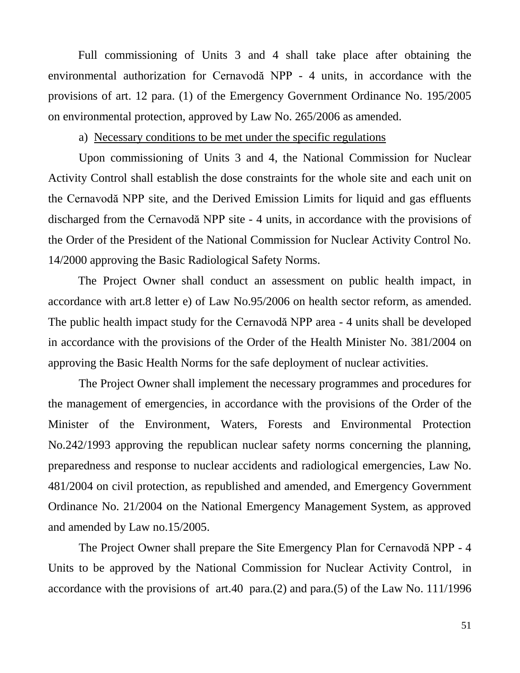Full commissioning of Units 3 and 4 shall take place after obtaining the environmental authorization for Cernavodă NPP - 4 units, in accordance with the provisions of art. 12 para. (1) of the Emergency Government Ordinance No. 195/2005 on environmental protection, approved by Law No. 265/2006 as amended.

#### a) Necessary conditions to be met under the specific regulations

Upon commissioning of Units 3 and 4, the National Commission for Nuclear Activity Control shall establish the dose constraints for the whole site and each unit on the Cernavodă NPP site, and the Derived Emission Limits for liquid and gas effluents discharged from the Cernavodă NPP site - 4 units, in accordance with the provisions of the Order of the President of the National Commission for Nuclear Activity Control No. 14/2000 approving the Basic Radiological Safety Norms.

The Project Owner shall conduct an assessment on public health impact, in accordance with art.8 letter e) of Law No.95/2006 on health sector reform, as amended. The public health impact study for the Cernavodă NPP area - 4 units shall be developed in accordance with the provisions of the Order of the Health Minister No. 381/2004 on approving the Basic Health Norms for the safe deployment of nuclear activities.

The Project Owner shall implement the necessary programmes and procedures for the management of emergencies, in accordance with the provisions of the Order of the Minister of the Environment, Waters, Forests and Environmental Protection No.242/1993 approving the republican nuclear safety norms concerning the planning, preparedness and response to nuclear accidents and radiological emergencies, Law No. [481/2004](../Local%20Settings/Local%20Settings/dds.GEN/sintact%203.0/cache/Legislatie/temp68214/00078920.htm) on civil protection, as republished and amended, and Emergency Government Ordinance No. 21/2004 on the National Emergency Management System, as approved and amended by Law no.15/2005.

The Project Owner shall prepare the Site Emergency Plan for Cernavodă NPP - 4 Units to be approved by the National Commission for Nuclear Activity Control, in accordance with the provisions of art.40 para.(2) and para.(5) of the Law No. 111/1996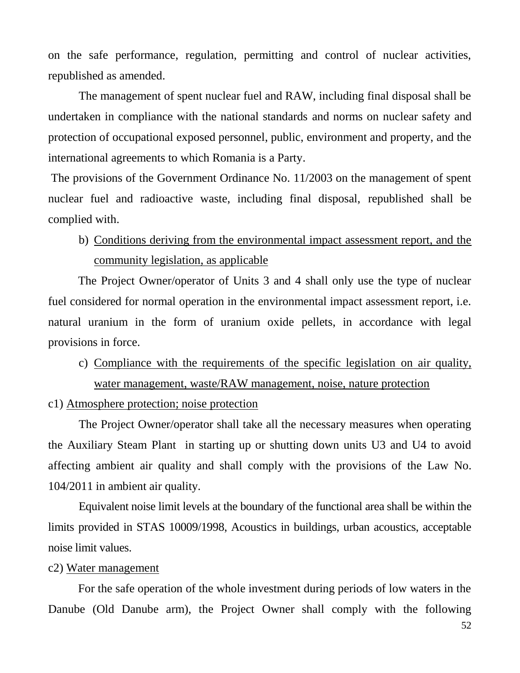on the safe performance, regulation, permitting and control of nuclear activities, republished as amended.

The management of spent nuclear fuel and RAW, including final disposal shall be undertaken in compliance with the national standards and norms on nuclear safety and protection of occupational exposed personnel, public, environment and property, and the international agreements to which Romania is a Party.

The provisions of the Government Ordinance No. 11/2003 on the management of spent nuclear fuel and radioactive waste, including final disposal, republished shall be complied with.

b) Conditions deriving from the environmental impact assessment report, and the community legislation, as applicable

The Project Owner/operator of Units 3 and 4 shall only use the type of nuclear fuel considered for normal operation in the environmental impact assessment report, i.e. natural uranium in the form of uranium oxide pellets, in accordance with legal provisions in force.

c) Compliance with the requirements of the specific legislation on air quality, water management, waste/RAW management, noise, nature protection

c1) Atmosphere protection; noise protection

The Project Owner/operator shall take all the necessary measures when operating the Auxiliary Steam Plant in starting up or shutting down units U3 and U4 to avoid affecting ambient air quality and shall comply with the provisions of the Law No. 104/2011 in ambient air quality.

Equivalent noise limit levels at the boundary of the functional area shall be within the limits provided in STAS 10009/1998, Acoustics in buildings, urban acoustics, acceptable noise limit values.

#### c2) Water management

For the safe operation of the whole investment during periods of low waters in the Danube (Old Danube arm), the Project Owner shall comply with the following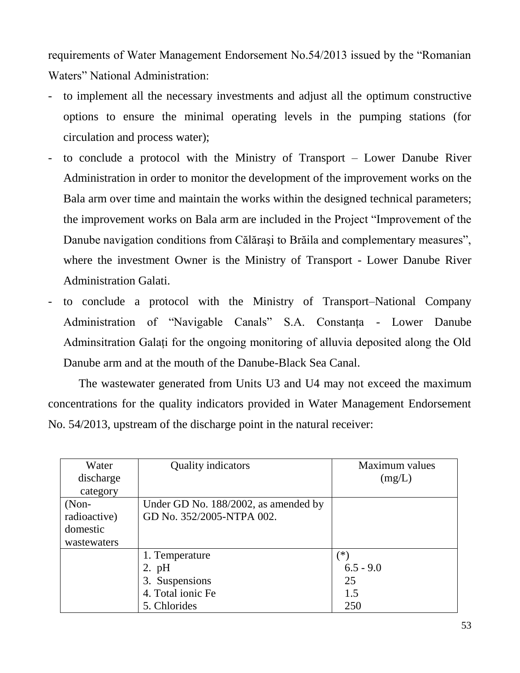requirements of Water Management Endorsement No.54/2013 issued by the "Romanian Waters" National Administration:

- to implement all the necessary investments and adjust all the optimum constructive options to ensure the minimal operating levels in the pumping stations (for circulation and process water);
- to conclude a protocol with the Ministry of Transport Lower Danube River Administration in order to monitor the development of the improvement works on the Bala arm over time and maintain the works within the designed technical parameters; the improvement works on Bala arm are included in the Project "Improvement of the Danube navigation conditions from Călăraşi to Brăila and complementary measures", where the investment Owner is the Ministry of Transport - Lower Danube River Administration Galati.
- to conclude a protocol with the Ministry of Transport–National Company Administration of "Navigable Canals" S.A. Constanta - Lower Danube Adminsitration Galaţi for the ongoing monitoring of alluvia deposited along the Old Danube arm and at the mouth of the Danube-Black Sea Canal.

The wastewater generated from Units U3 and U4 may not exceed the maximum concentrations for the quality indicators provided in Water Management Endorsement No. 54/2013, upstream of the discharge point in the natural receiver:

| Water        | Quality indicators                   | Maximum values |
|--------------|--------------------------------------|----------------|
| discharge    |                                      | (mg/L)         |
| category     |                                      |                |
| $(Non-$      | Under GD No. 188/2002, as amended by |                |
| radioactive) | GD No. 352/2005-NTPA 002.            |                |
| domestic     |                                      |                |
| wastewaters  |                                      |                |
|              | 1. Temperature                       | $^{(*)}$       |
|              | $2.$ pH                              | $6.5 - 9.0$    |
|              | 3. Suspensions                       | 25             |
|              | 4. Total ionic Fe                    | 1.5            |
|              | 5. Chlorides                         | 250            |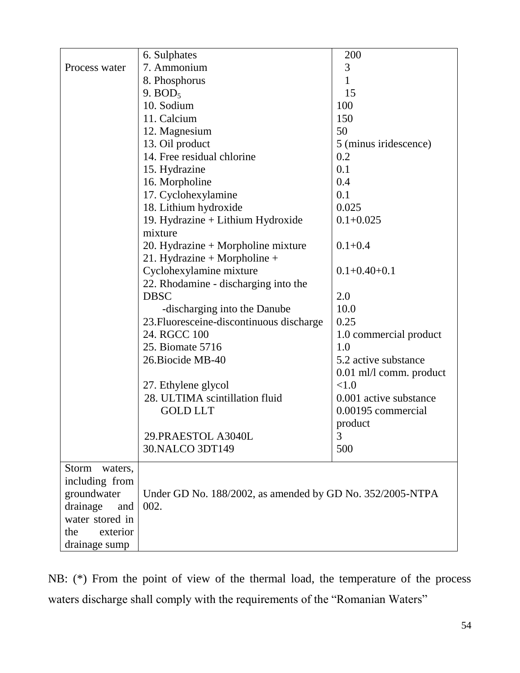|                  |                                                           | 200                      |
|------------------|-----------------------------------------------------------|--------------------------|
| Process water    | 6. Sulphates<br>7. Ammonium                               | 3                        |
|                  | 8. Phosphorus                                             | 1                        |
|                  | 9. $BOD5$                                                 | 15                       |
|                  | 10. Sodium                                                | 100                      |
|                  | 11. Calcium                                               |                          |
|                  |                                                           | 150                      |
|                  | 12. Magnesium                                             | 50                       |
|                  | 13. Oil product                                           | 5 (minus iridescence)    |
|                  | 14. Free residual chlorine                                | 0.2                      |
|                  | 15. Hydrazine                                             | 0.1                      |
|                  | 16. Morpholine                                            | 0.4                      |
|                  | 17. Cyclohexylamine                                       | 0.1                      |
|                  | 18. Lithium hydroxide                                     | 0.025                    |
|                  | 19. Hydrazine + Lithium Hydroxide<br>mixture              | $0.1 + 0.025$            |
|                  | 20. Hydrazine + Morpholine mixture                        | $0.1 + 0.4$              |
|                  | 21. Hydrazine + Morpholine +                              |                          |
|                  | Cyclohexylamine mixture                                   | $0.1 + 0.40 + 0.1$       |
|                  | 22. Rhodamine - discharging into the                      |                          |
|                  | <b>DBSC</b>                                               | 2.0                      |
|                  | -discharging into the Danube                              | 10.0                     |
|                  | 23. Fluoresceine-discontinuous discharge                  | 0.25                     |
|                  | 24. RGCC 100                                              | 1.0 commercial product   |
|                  | 25. Biomate 5716                                          | 1.0                      |
|                  | 26. Biocide MB-40                                         | 5.2 active substance     |
|                  |                                                           | 0.01 ml/l comm. product  |
|                  | 27. Ethylene glycol                                       | < 1.0                    |
|                  | 28. ULTIMA scintillation fluid                            | 0.001 active substance   |
|                  | <b>GOLD LLT</b>                                           | 0.00195 commercial       |
|                  |                                                           | $\operatorname{product}$ |
|                  | 29. PRAESTOL A3040L                                       | 3                        |
|                  | 30. NALCO 3DT149                                          | 500                      |
|                  |                                                           |                          |
| Storm<br>waters, |                                                           |                          |
| including from   |                                                           |                          |
| groundwater      | Under GD No. 188/2002, as amended by GD No. 352/2005-NTPA |                          |
| drainage<br>and  | 002.                                                      |                          |
| water stored in  |                                                           |                          |
| the<br>exterior  |                                                           |                          |
| drainage sump    |                                                           |                          |

NB: (\*) From the point of view of the thermal load, the temperature of the process waters discharge shall comply with the requirements of the "Romanian Waters"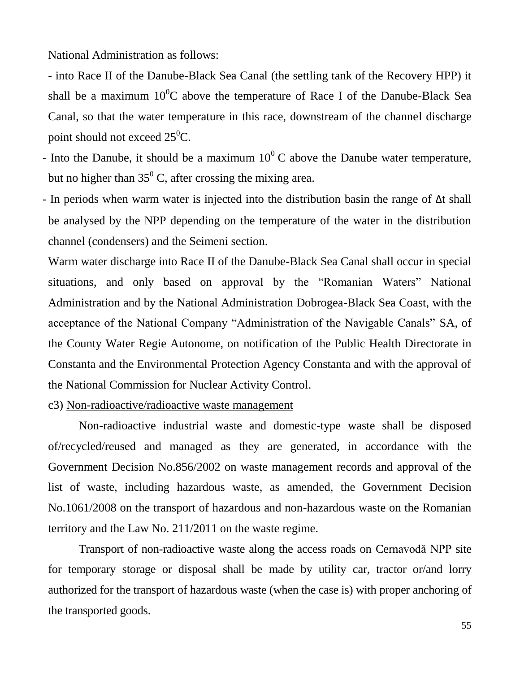National Administration as follows:

- into Race II of the Danube-Black Sea Canal (the settling tank of the Recovery HPP) it shall be a maximum  $10^{0}$ C above the temperature of Race I of the Danube-Black Sea Canal, so that the water temperature in this race, downstream of the channel discharge point should not exceed  $25^0C$ .

- Into the Danube, it should be a maximum  $10^0$  C above the Danube water temperature, but no higher than  $35^{\circ}$  C, after crossing the mixing area.
- In periods when warm water is injected into the distribution basin the range of Δt shall be analysed by the NPP depending on the temperature of the water in the distribution channel (condensers) and the Seimeni section.

Warm water discharge into Race II of the Danube-Black Sea Canal shall occur in special situations, and only based on approval by the "Romanian Waters" National Administration and by the National Administration Dobrogea-Black Sea Coast, with the acceptance of the National Company "Administration of the Navigable Canals" SA, of the County Water Regie Autonome, on notification of the Public Health Directorate in Constanta and the Environmental Protection Agency Constanta and with the approval of the National Commission for Nuclear Activity Control.

c3) Non-radioactive/radioactive waste management

Non-radioactive industrial waste and domestic-type waste shall be disposed of/recycled/reused and managed as they are generated, in accordance with the Government Decision No.856/2002 on waste management records and approval of the list of waste, including hazardous waste, as amended, the Government Decision No.1061/2008 on the transport of hazardous and non-hazardous waste on the Romanian territory and the Law No. 211/2011 on the waste regime.

Transport of non-radioactive waste along the access roads on Cernavodă NPP site for temporary storage or disposal shall be made by utility car, tractor or/and lorry authorized for the transport of hazardous waste (when the case is) with proper anchoring of the transported goods.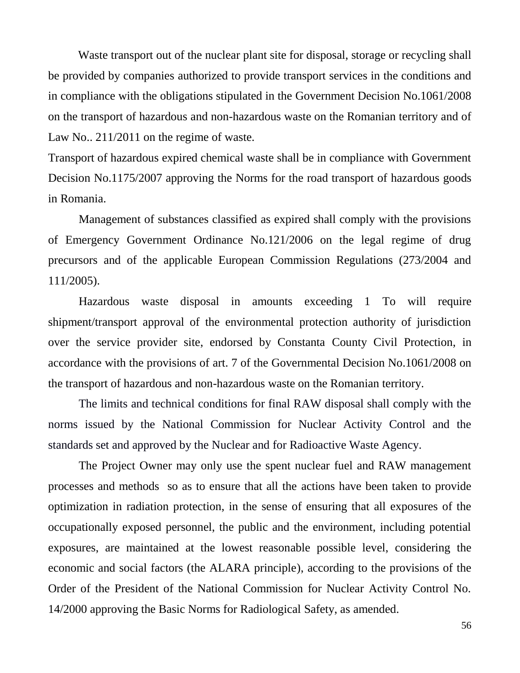Waste transport out of the nuclear plant site for disposal, storage or recycling shall be provided by companies authorized to provide transport services in the conditions and in compliance with the obligations stipulated in the Government Decision No.1061/2008 on the transport of hazardous and non-hazardous waste on the Romanian territory and of Law No.. 211/2011 on the regime of waste.

Transport of hazardous expired chemical waste shall be in compliance with Government Decision No.1175/2007 approving the Norms for the road transport of hazardous goods in Romania.

Management of substances classified as expired shall comply with the provisions of Emergency Government Ordinance No.121/2006 on the legal regime of drug precursors and of the applicable European Commission Regulations (273/2004 and 111/2005).

Hazardous waste disposal in amounts exceeding 1 To will require shipment/transport approval of the environmental protection authority of jurisdiction over the service provider site, endorsed by Constanta County Civil Protection, in accordance with the provisions of art. 7 of the Governmental Decision No.1061/2008 on the transport of hazardous and non-hazardous waste on the Romanian territory.

The limits and technical conditions for final RAW disposal shall comply with the norms issued by the National Commission for Nuclear Activity Control and the standards set and approved by the Nuclear and for Radioactive Waste Agency.

The Project Owner may only use the spent nuclear fuel and RAW management processes and methods so as to ensure that all the actions have been taken to provide optimization in radiation protection, in the sense of ensuring that all exposures of the occupationally exposed personnel, the public and the environment, including potential exposures, are maintained at the lowest reasonable possible level, considering the economic and social factors (the ALARA principle), according to the provisions of the Order of the President of the National Commission for Nuclear Activity Control No. 14/2000 approving the Basic Norms for Radiological Safety, as amended.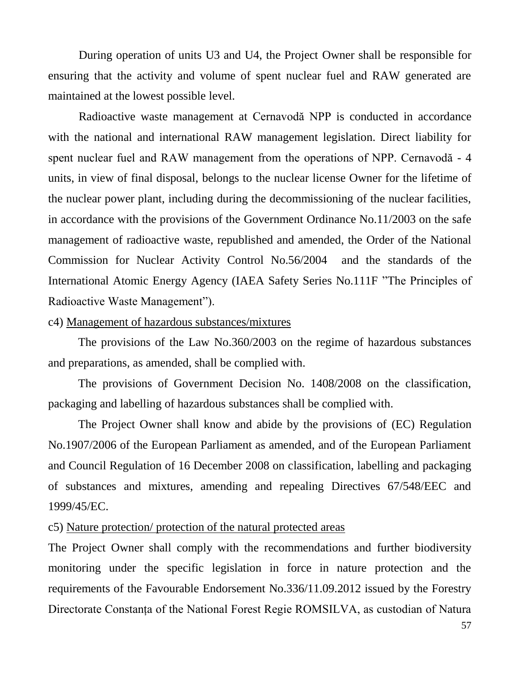During operation of units U3 and U4, the Project Owner shall be responsible for ensuring that the activity and volume of spent nuclear fuel and RAW generated are maintained at the lowest possible level.

Radioactive waste management at Cernavodă NPP is conducted in accordance with the national and international RAW management legislation. Direct liability for spent nuclear fuel and RAW management from the operations of NPP. Cernavodă - 4 units, in view of final disposal, belongs to the nuclear license Owner for the lifetime of the nuclear power plant, including during the decommissioning of the nuclear facilities, in accordance with the provisions of the Government Ordinance No.11/2003 on the safe management of radioactive waste, republished and amended, the Order of the National Commission for Nuclear Activity Control No.56/2004 and the standards of the International Atomic Energy Agency (IAEA Safety Series No.111F "The Principles of Radioactive Waste Management").

#### c4) Management of hazardous substances/mixtures

The provisions of the Law No.360/2003 on the regime of hazardous substances and preparations, as amended, shall be complied with.

The provisions of Government Decision No. 1408/2008 on the classification, packaging and labelling of hazardous substances shall be complied with.

The Project Owner shall know and abide by the provisions of (EC) Regulation No.1907/2006 of the European Parliament as amended, and of the European Parliament and Council Regulation of 16 December 2008 on classification, labelling and packaging of substances and mixtures, amending and repealing Directives 67/548/EEC and 1999/45/EC.

# c5) Nature protection/ protection of the natural protected areas

The Project Owner shall comply with the recommendations and further biodiversity monitoring under the specific legislation in force in nature protection and the requirements of the Favourable Endorsement No.336/11.09.2012 issued by the Forestry Directorate Constanţa of the National Forest Regie ROMSILVA, as custodian of Natura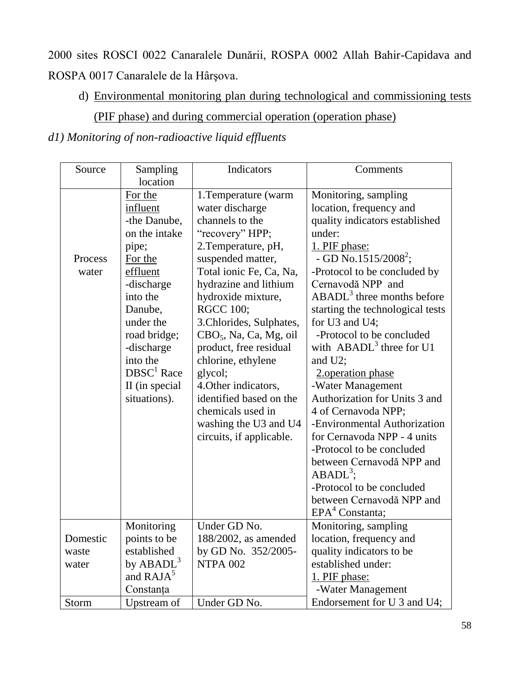2000 sites ROSCI 0022 Canaralele Dunării, ROSPA 0002 Allah Bahir-Capidava and ROSPA 0017 Canaralele de la Hârşova.

d) Environmental monitoring plan during technological and commissioning tests (PIF phase) and during commercial operation (operation phase)

*d1) Monitoring of non-radioactive liquid effluents*

| Source           | Sampling<br>location                                                                                                                                                                                                                             | Indicators                                                                                                                                                                                                                                                                                                                                                                                                                                                                                        | Comments                                                                                                                                                                                                                                                                                                                                                                                                                                                                                                                                                                                                                                                                                                               |
|------------------|--------------------------------------------------------------------------------------------------------------------------------------------------------------------------------------------------------------------------------------------------|---------------------------------------------------------------------------------------------------------------------------------------------------------------------------------------------------------------------------------------------------------------------------------------------------------------------------------------------------------------------------------------------------------------------------------------------------------------------------------------------------|------------------------------------------------------------------------------------------------------------------------------------------------------------------------------------------------------------------------------------------------------------------------------------------------------------------------------------------------------------------------------------------------------------------------------------------------------------------------------------------------------------------------------------------------------------------------------------------------------------------------------------------------------------------------------------------------------------------------|
| Process<br>water | For the<br>influent<br>-the Danube,<br>on the intake<br>pipe;<br>For the<br>effluent<br>-discharge<br>into the<br>Danube,<br>under the<br>road bridge;<br>-discharge<br>into the<br>$DBSC1$ Race<br>II (in special<br>situations).<br>Monitoring | 1. Temperature (warm<br>water discharge<br>channels to the<br>"recovery" HPP;<br>2. Temperature, pH,<br>suspended matter,<br>Total ionic Fe, Ca, Na,<br>hydrazine and lithium<br>hydroxide mixture,<br><b>RGCC 100;</b><br>3. Chlorides, Sulphates,<br>CBO <sub>5</sub> , Na, Ca, Mg, oil<br>product, free residual<br>chlorine, ethylene<br>glycol;<br>4. Other indicators,<br>identified based on the<br>chemicals used in<br>washing the U3 and U4<br>circuits, if applicable.<br>Under GD No. | Monitoring, sampling<br>location, frequency and<br>quality indicators established<br>under:<br>1. PIF phase:<br>- GD No.1515/2008 <sup>2</sup> ;<br>-Protocol to be concluded by<br>Cernavodă NPP and<br>$ABADL3$ three months before<br>starting the technological tests<br>for U3 and U4;<br>-Protocol to be concluded<br>with $ABADL3$ three for U1<br>and $U2$ ;<br>2. operation phase<br>-Water Management<br>Authorization for Units 3 and<br>4 of Cernavoda NPP;<br>-Environmental Authorization<br>for Cernavoda NPP - 4 units<br>-Protocol to be concluded<br>between Cernavodă NPP and<br>$ABADL^3$ ;<br>-Protocol to be concluded<br>between Cernavodă NPP and<br>$EPA4$ Constanta;<br>Monitoring, sampling |
| Domestic         | points to be                                                                                                                                                                                                                                     | $188/2002$ , as amended                                                                                                                                                                                                                                                                                                                                                                                                                                                                           | location, frequency and                                                                                                                                                                                                                                                                                                                                                                                                                                                                                                                                                                                                                                                                                                |
| waste            | established                                                                                                                                                                                                                                      | by GD No. 352/2005-                                                                                                                                                                                                                                                                                                                                                                                                                                                                               | quality indicators to be                                                                                                                                                                                                                                                                                                                                                                                                                                                                                                                                                                                                                                                                                               |
| water            | by $ABADL^3$                                                                                                                                                                                                                                     | <b>NTPA 002</b>                                                                                                                                                                                                                                                                                                                                                                                                                                                                                   | established under:                                                                                                                                                                                                                                                                                                                                                                                                                                                                                                                                                                                                                                                                                                     |
|                  | and RAJA <sup>5</sup>                                                                                                                                                                                                                            |                                                                                                                                                                                                                                                                                                                                                                                                                                                                                                   | 1. PIF phase:                                                                                                                                                                                                                                                                                                                                                                                                                                                                                                                                                                                                                                                                                                          |
|                  | Constanța                                                                                                                                                                                                                                        |                                                                                                                                                                                                                                                                                                                                                                                                                                                                                                   | -Water Management                                                                                                                                                                                                                                                                                                                                                                                                                                                                                                                                                                                                                                                                                                      |
| <b>Storm</b>     | Upstream of                                                                                                                                                                                                                                      | Under GD No.                                                                                                                                                                                                                                                                                                                                                                                                                                                                                      | Endorsement for U 3 and U4;                                                                                                                                                                                                                                                                                                                                                                                                                                                                                                                                                                                                                                                                                            |
|                  |                                                                                                                                                                                                                                                  |                                                                                                                                                                                                                                                                                                                                                                                                                                                                                                   |                                                                                                                                                                                                                                                                                                                                                                                                                                                                                                                                                                                                                                                                                                                        |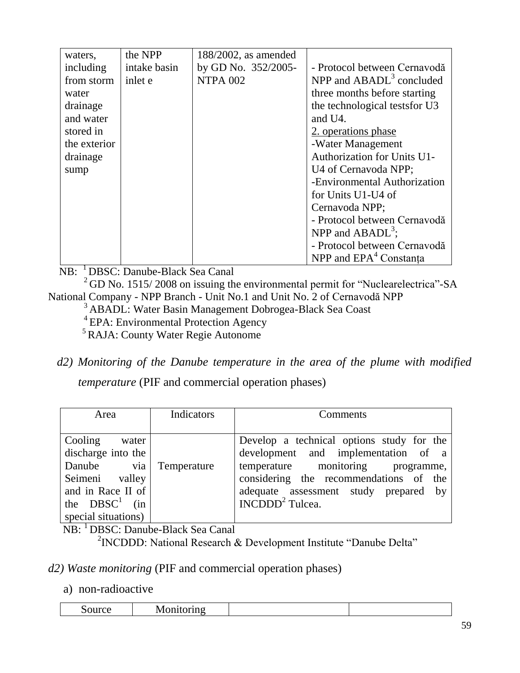| waters,      | the NPP      | $188/2002$ , as amended |                                    |
|--------------|--------------|-------------------------|------------------------------------|
| including    | intake basin | by GD No. 352/2005-     | - Protocol between Cernavodă       |
| from storm   | inlet e      | <b>NTPA 002</b>         | NPP and $ABADL3$ concluded         |
| water        |              |                         | three months before starting       |
| drainage     |              |                         | the technological tests for U3     |
| and water    |              |                         | and U4.                            |
| stored in    |              |                         | 2. operations phase                |
| the exterior |              |                         | -Water Management                  |
| drainage     |              |                         | <b>Authorization for Units U1-</b> |
| sump         |              |                         | U4 of Cernavoda NPP;               |
|              |              |                         | -Environmental Authorization       |
|              |              |                         | for Units U1-U4 of                 |
|              |              |                         | Cernavoda NPP;                     |
|              |              |                         | - Protocol between Cernavodă       |
|              |              |                         | NPP and $ABADL^3$ ;                |
|              |              |                         | - Protocol between Cernavodă       |
|              |              |                         | NPP and EPA <sup>4</sup> Constanta |

NB: <sup>1</sup>DBSC: Danube-Black Sea Canal

<sup>2</sup>GD No. 1515/2008 on issuing the environmental permit for "Nuclearelectrica"-SA National Company - NPP Branch - Unit No.1 and Unit No. 2 of Cernavodă NPP

<sup>3</sup>ABADL: Water Basin Management Dobrogea-Black Sea Coast

<sup>4</sup> EPA: Environmental Protection Agency

<sup>5</sup>RAJA: County Water Regie Autonome

*d2) Monitoring of the Danube temperature in the area of the plume with modified*

*temperature* (PIF and commercial operation phases)

| Area                   | Indicators | Comments                                  |
|------------------------|------------|-------------------------------------------|
|                        |            |                                           |
| Cooling water          |            | Develop a technical options study for the |
| discharge into the     |            | development and implementation of a       |
| Danube via Temperature |            | temperature monitoring programme,         |
| Seimeni valley         |            | considering the recommendations of the    |
| and in Race II of      |            | adequate assessment study prepared by     |
| the $DBSC1$ (in        |            | $INCDDD2$ Tulcea.                         |
| special situations)    |            |                                           |

**NB:** <sup>1</sup>DBSC: Danube-Black Sea Canal

<sup>2</sup> INCDDD: National Research & Development Institute "Danube Delta"

# *d2) Waste monitoring* (PIF and commercial operation phases)

## a) non-radioactive

| -<br>$-$<br>.50117C <sub>e</sub><br>по<br>'VI.<br> |
|----------------------------------------------------|
|----------------------------------------------------|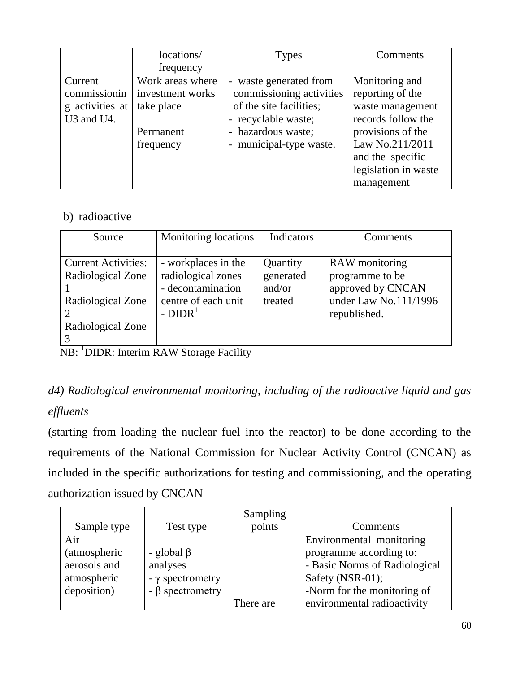|                                                                                   | locations/<br>frequency                                                      | <b>Types</b>                                                                                                                                  | Comments                                                                                                                                                                       |
|-----------------------------------------------------------------------------------|------------------------------------------------------------------------------|-----------------------------------------------------------------------------------------------------------------------------------------------|--------------------------------------------------------------------------------------------------------------------------------------------------------------------------------|
| Current<br>commissionin<br>g activities at<br>U <sub>3</sub> and U <sub>4</sub> . | Work areas where<br>investment works<br>take place<br>Permanent<br>frequency | waste generated from<br>commissioning activities<br>of the site facilities;<br>recyclable waste;<br>hazardous waste;<br>municipal-type waste. | Monitoring and<br>reporting of the<br>waste management<br>records follow the<br>provisions of the<br>Law No.211/2011<br>and the specific<br>legislation in waste<br>management |

# b) radioactive

| Source                                                                                    | Monitoring locations                                                                              | Indicators                                 | Comments                                                                                        |
|-------------------------------------------------------------------------------------------|---------------------------------------------------------------------------------------------------|--------------------------------------------|-------------------------------------------------------------------------------------------------|
| <b>Current Activities:</b><br>Radiological Zone<br>Radiological Zone<br>Radiological Zone | - workplaces in the<br>radiological zones<br>- decontamination<br>centre of each unit<br>$-DIDR1$ | Quantity<br>generated<br>and/or<br>treated | RAW monitoring<br>programme to be<br>approved by CNCAN<br>under Law No.111/1996<br>republished. |

NB: <sup>1</sup>DIDR: Interim RAW Storage Facility

# *d4) Radiological environmental monitoring, including of the radioactive liquid and gas effluents*

(starting from loading the nuclear fuel into the reactor) to be done according to the requirements of the National Commission for Nuclear Activity Control (CNCAN) as included in the specific authorizations for testing and commissioning, and the operating authorization issued by CNCAN

|                      |                       | Sampling  |                               |
|----------------------|-----------------------|-----------|-------------------------------|
| Sample type          | Test type             | points    | Comments                      |
| Air                  |                       |           | Environmental monitoring      |
| <i>(atmospheric)</i> | - global $\beta$      |           | programme according to:       |
| aerosols and         | analyses              |           | - Basic Norms of Radiological |
| atmospheric          | - γ spectrometry      |           | Safety (NSR-01);              |
| deposition)          | $-\beta$ spectrometry |           | -Norm for the monitoring of   |
|                      |                       | There are | environmental radioactivity   |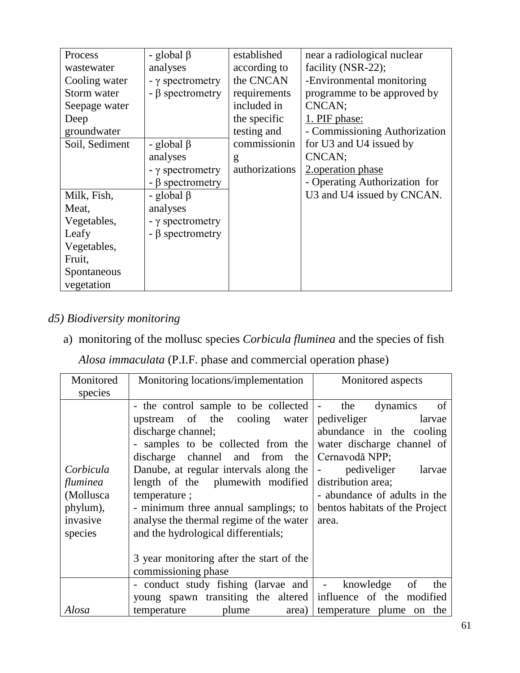| Process        | - global $\beta$        | established    | near a radiological nuclear   |
|----------------|-------------------------|----------------|-------------------------------|
| wastewater     | analyses                | according to   | facility (NSR-22);            |
| Cooling water  | $- \gamma$ spectrometry | the CNCAN      | -Environmental monitoring     |
| Storm water    | $- \beta$ spectrometry  | requirements   | programme to be approved by   |
| Seepage water  |                         | included in    | CNCAN;                        |
| Deep           |                         | the specific   | 1. PIF phase:                 |
| groundwater    |                         | testing and    | - Commissioning Authorization |
| Soil, Sediment | - global $\beta$        | commissionin   | for U3 and U4 issued by       |
|                | analyses                | g              | CNCAN;                        |
|                | $- \gamma$ spectrometry | authorizations | 2. operation phase            |
|                | $- \beta$ spectrometry  |                | - Operating Authorization for |
| Milk, Fish,    | - global $\beta$        |                | U3 and U4 issued by CNCAN.    |
| Meat,          | analyses                |                |                               |
| Vegetables,    | $- \gamma$ spectrometry |                |                               |
| Leafy          | $- \beta$ spectrometry  |                |                               |
| Vegetables,    |                         |                |                               |
| Fruit,         |                         |                |                               |
| Spontaneous    |                         |                |                               |
| vegetation     |                         |                |                               |

# *d5) Biodiversity monitoring*

a) monitoring of the mollusc species *Corbicula fluminea* and the species of fish

*Alosa immaculata* (P.I.F. phase and commercial operation phase)

| Monitored | Monitoring locations/implementation                          | Monitored aspects                       |
|-----------|--------------------------------------------------------------|-----------------------------------------|
| species   |                                                              |                                         |
|           | - the control sample to be collected  -                      | of<br>the<br>dynamics                   |
|           | upstream of the cooling water                                | pediveliger<br>larvae                   |
|           | discharge channel;                                           | abundance in the cooling                |
|           | - samples to be collected from the                           | water discharge channel of              |
|           | discharge channel and from the                               | Cernavodă NPP;                          |
| Corbicula | Danube, at regular intervals along the                       | pediveliger<br>larvae<br>$\blacksquare$ |
| fluminea  | length of the plumewith modified                             | distribution area;                      |
| (Mollusca | temperature;                                                 | - abundance of adults in the            |
| phylum),  | - minimum three annual samplings; to                         | bentos habitats of the Project          |
| invasive  | analyse the thermal regime of the water                      | area.                                   |
| species   | and the hydrological differentials;                          |                                         |
|           |                                                              |                                         |
|           | 3 year monitoring after the start of the                     |                                         |
|           | commissioning phase                                          |                                         |
|           |                                                              |                                         |
|           | - conduct study fishing (larvae and   - knowledge            | - of<br>the                             |
|           | young spawn transiting the altered influence of the modified |                                         |
| Alosa     | plume<br>temperature                                         | area) temperature plume on the          |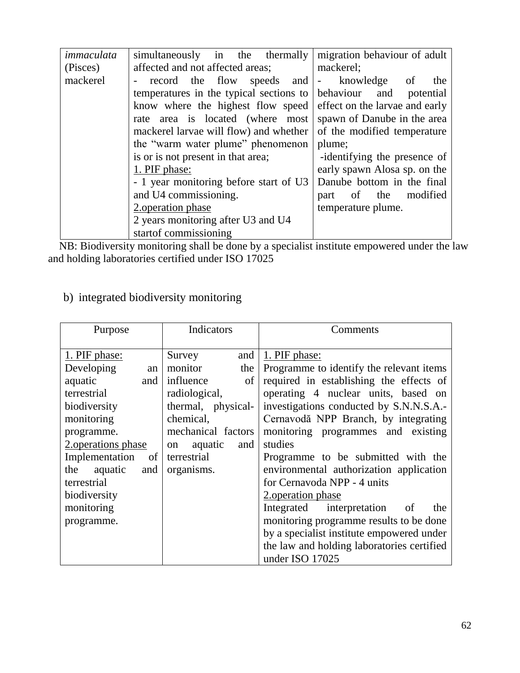| immaculata | simultaneously in the thermally         | migration behaviour of adult   |
|------------|-----------------------------------------|--------------------------------|
| (Pisces)   | affected and not affected areas;        | mackerel;                      |
| mackerel   | record the flow speeds and - knowledge  | of<br>the                      |
|            | temperatures in the typical sections to | behaviour<br>and<br>potential  |
|            | know where the highest flow speed       | effect on the larvae and early |
|            | rate area is located (where most)       | spawn of Danube in the area    |
|            | mackerel larvae will flow) and whether  | of the modified temperature    |
|            | the "warm water plume" phenomenon       | plume;                         |
|            | is or is not present in that area;      | -identifying the presence of   |
|            | 1. PIF phase:                           | early spawn Alosa sp. on the   |
|            | - 1 year monitoring before start of U3  | Danube bottom in the final     |
|            | and U4 commissioning.                   | modified<br>part of the        |
|            | 2. operation phase                      | temperature plume.             |
|            | 2 years monitoring after U3 and U4      |                                |
|            | start of commissioning                  |                                |

 NB: Biodiversity monitoring shall be done by a specialist institute empowered under the law and holding laboratories certified under ISO 17025

| Purpose               | Indicators           | Comments                                   |
|-----------------------|----------------------|--------------------------------------------|
|                       |                      |                                            |
| 1. PIF phase:         | and  <br>Survey      | 1. PIF phase:                              |
| Developing<br>an      | monitor<br>the       | Programme to identify the relevant items   |
| aquatic<br>and        | influence<br>of      | required in establishing the effects of    |
| terrestrial           | radiological,        | operating 4 nuclear units, based on        |
| biodiversity          | thermal, physical-   | investigations conducted by S.N.N.S.A.-    |
| monitoring            | chemical,            | Cernavodă NPP Branch, by integrating       |
| programme.            | mechanical factors   | monitoring programmes and existing         |
| 2. operations phase   | aquatic<br>and<br>on | studies                                    |
| Implementation<br>of  | terrestrial          | Programme to be submitted with the         |
| aquatic<br>the<br>and | organisms.           | environmental authorization application    |
| terrestrial           |                      | for Cernavoda NPP - 4 units                |
| biodiversity          |                      | 2. operation phase                         |
| monitoring            |                      | Integrated interpretation<br>of<br>the     |
| programme.            |                      | monitoring programme results to be done    |
|                       |                      | by a specialist institute empowered under  |
|                       |                      | the law and holding laboratories certified |
|                       |                      | under ISO 17025                            |

# b) integrated biodiversity monitoring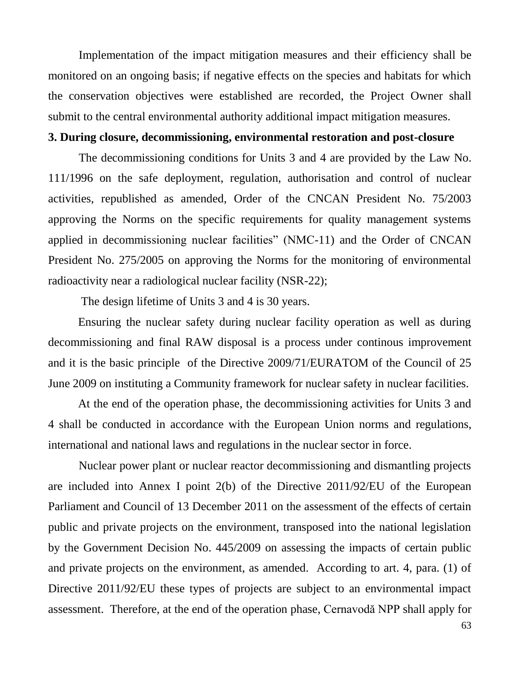Implementation of the impact mitigation measures and their efficiency shall be monitored on an ongoing basis; if negative effects on the species and habitats for which the conservation objectives were established are recorded, the Project Owner shall submit to the central environmental authority additional impact mitigation measures.

#### **3. During closure, decommissioning, environmental restoration and post-closure**

The decommissioning conditions for Units 3 and 4 are provided by the Law No. 111/1996 on the safe deployment, regulation, authorisation and control of nuclear activities, republished as amended, Order of the CNCAN President No. 75/2003 approving the Norms on the specific requirements for quality management systems applied in decommissioning nuclear facilities" (NMC-11) and the Order of CNCAN President No. 275/2005 on approving the Norms for the monitoring of environmental radioactivity near a radiological nuclear facility (NSR-22);

The design lifetime of Units 3 and 4 is 30 years.

Ensuring the nuclear safety during nuclear facility operation as well as during decommissioning and final RAW disposal is a process under continous improvement and it is the basic principle of the Directive 2009/71/EURATOM of the Council of 25 June 2009 on instituting a Community framework for nuclear safety in nuclear facilities.

At the end of the operation phase, the decommissioning activities for Units 3 and 4 shall be conducted in accordance with the European Union norms and regulations, international and national laws and regulations in the nuclear sector in force.

Nuclear power plant or nuclear reactor decommissioning and dismantling projects are included into Annex I point 2(b) of the Directive 2011/92/EU of the European Parliament and Council of 13 December 2011 on the assessment of the effects of certain public and private projects on the environment, transposed into the national legislation by the Government Decision No. 445/2009 on assessing the impacts of certain public and private projects on the environment, as amended. According to art. 4, para. (1) of Directive 2011/92/EU these types of projects are subject to an environmental impact assessment. Therefore, at the end of the operation phase, Cernavodă NPP shall apply for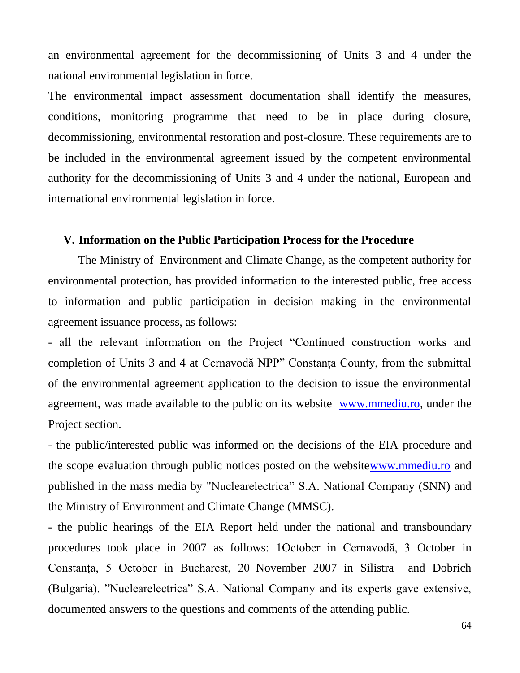an environmental agreement for the decommissioning of Units 3 and 4 under the national environmental legislation in force.

The environmental impact assessment documentation shall identify the measures, conditions, monitoring programme that need to be in place during closure, decommissioning, environmental restoration and post-closure. These requirements are to be included in the environmental agreement issued by the competent environmental authority for the decommissioning of Units 3 and 4 under the national, European and international environmental legislation in force.

## **V. Information on the Public Participation Process for the Procedure**

The Ministry of Environment and Climate Change, as the competent authority for environmental protection, has provided information to the interested public, free access to information and public participation in decision making in the environmental agreement issuance process, as follows:

- all the relevant information on the Project "Continued construction works and completion of Units 3 and 4 at Cernavodă NPP" Constanţa County, from the submittal of the environmental agreement application to the decision to issue the environmental agreement, was made available to the public on its website [www.mmediu.ro,](http://www.mmediu.ro/) under the Project section.

- the public/interested public was informed on the decisions of the EIA procedure and the scope evaluation through public notices posted on the websit[ewww.mmediu.ro](http://www.mmediu.ro/) and published in the mass media by "Nuclearelectrica" S.A. National Company (SNN) and the Ministry of Environment and Climate Change (MMSC).

- the public hearings of the EIA Report held under the national and transboundary procedures took place in 2007 as follows: 1October in Cernavodă, 3 October in Constanţa, 5 October in Bucharest, 20 November 2007 in Silistra and Dobrich (Bulgaria). "Nuclearelectrica" S.A. National Company and its experts gave extensive, documented answers to the questions and comments of the attending public.

64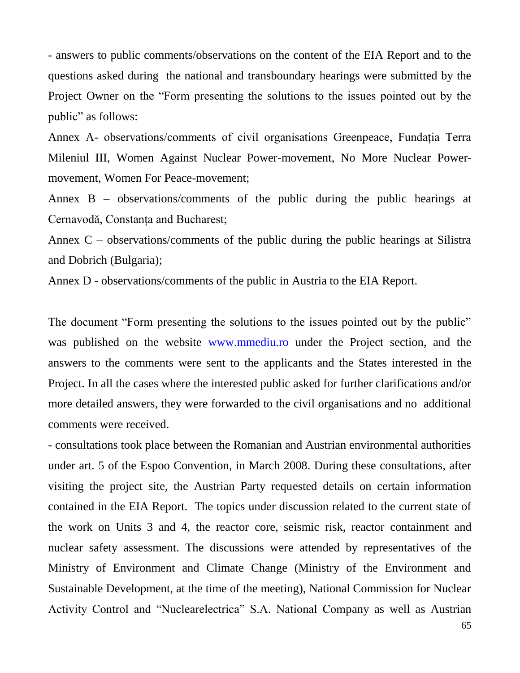- answers to public comments/observations on the content of the EIA Report and to the questions asked during the national and transboundary hearings were submitted by the Project Owner on the "Form presenting the solutions to the issues pointed out by the public" as follows:

Annex A- observations/comments of civil organisations Greenpeace, Fundația Terra Mileniul III, Women Against Nuclear Power-movement, No More Nuclear Powermovement, Women For Peace-movement;

Annex B – observations/comments of the public during the public hearings at Cernavodă, Constanţa and Bucharest;

Annex C – observations/comments of the public during the public hearings at Silistra and Dobrich (Bulgaria);

Annex D - observations/comments of the public in Austria to the EIA Report.

The document "Form presenting the solutions to the issues pointed out by the public" was published on the website [www.mmediu.ro](http://www.mmediu.ro/) under the Project section, and the answers to the comments were sent to the applicants and the States interested in the Project. In all the cases where the interested public asked for further clarifications and/or more detailed answers, they were forwarded to the civil organisations and no additional comments were received.

- consultations took place between the Romanian and Austrian environmental authorities under art. 5 of the Espoo Convention, in March 2008. During these consultations, after visiting the project site, the Austrian Party requested details on certain information contained in the EIA Report. The topics under discussion related to the current state of the work on Units 3 and 4, the reactor core, seismic risk, reactor containment and nuclear safety assessment. The discussions were attended by representatives of the Ministry of Environment and Climate Change (Ministry of the Environment and Sustainable Development, at the time of the meeting), National Commission for Nuclear Activity Control and "Nuclearelectrica" S.A. National Company as well as Austrian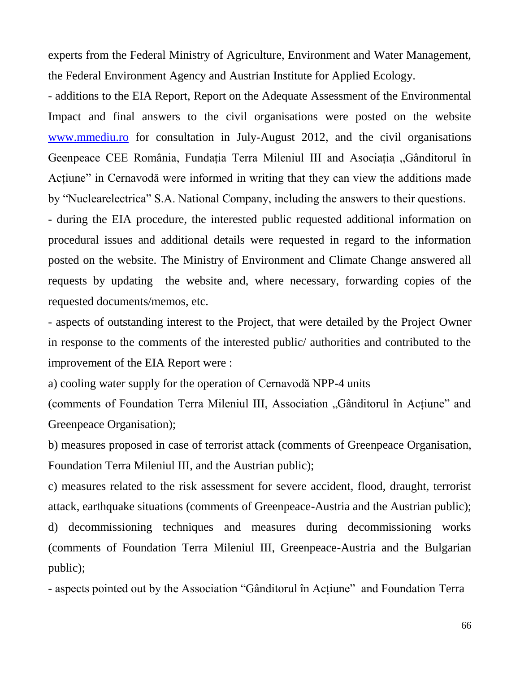experts from the Federal Ministry of Agriculture, Environment and Water Management, the Federal Environment Agency and Austrian Institute for Applied Ecology.

- additions to the EIA Report, Report on the Adequate Assessment of the Environmental Impact and final answers to the civil organisations were posted on the website [www.mmediu.ro](http://www.mmediu.ro/) for consultation in July-August 2012, and the civil organisations Geenpeace CEE România, Fundația Terra Mileniul III and Asociația "Gânditorul în Actiune" in Cernavodă were informed in writing that they can view the additions made by "Nuclearelectrica" S.A. National Company, including the answers to their questions.

- during the EIA procedure, the interested public requested additional information on procedural issues and additional details were requested in regard to the information posted on the website. The Ministry of Environment and Climate Change answered all requests by updating the website and, where necessary, forwarding copies of the requested documents/memos, etc.

- aspects of outstanding interest to the Project, that were detailed by the Project Owner in response to the comments of the interested public/ authorities and contributed to the improvement of the EIA Report were :

a) cooling water supply for the operation of Cernavodă NPP-4 units

(comments of Foundation Terra Mileniul III, Association "Gânditorul în Acţiune" and Greenpeace Organisation);

b) measures proposed in case of terrorist attack (comments of Greenpeace Organisation, Foundation Terra Mileniul III, and the Austrian public);

c) measures related to the risk assessment for severe accident, flood, draught, terrorist attack, earthquake situations (comments of Greenpeace-Austria and the Austrian public); d) decommissioning techniques and measures during decommissioning works (comments of Foundation Terra Mileniul III, Greenpeace-Austria and the Bulgarian

public);

- aspects pointed out by the Association "Gânditorul în Acţiune" and Foundation Terra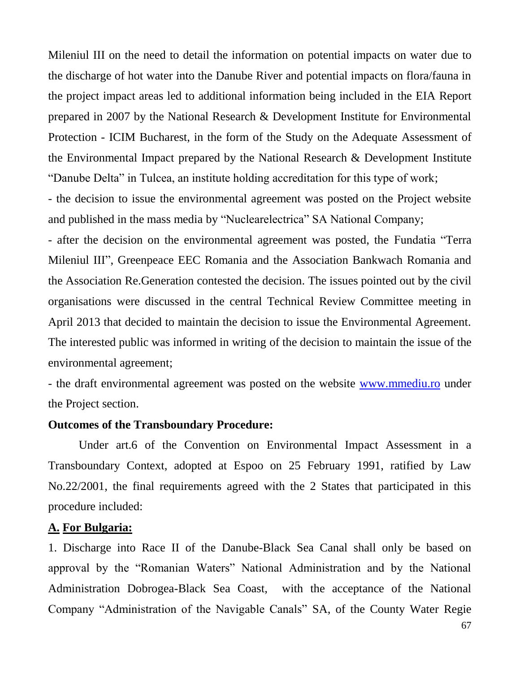Mileniul III on the need to detail the information on potential impacts on water due to the discharge of hot water into the Danube River and potential impacts on flora/fauna in the project impact areas led to additional information being included in the EIA Report prepared in 2007 by the National Research & Development Institute for Environmental Protection - ICIM Bucharest, in the form of the Study on the Adequate Assessment of the Environmental Impact prepared by the National Research & Development Institute "Danube Delta" in Tulcea, an institute holding accreditation for this type of work;

- the decision to issue the environmental agreement was posted on the Project website and published in the mass media by "Nuclearelectrica" SA National Company;

- after the decision on the environmental agreement was posted, the Fundatia "Terra Mileniul III", Greenpeace EEC Romania and the Association Bankwach Romania and the Association Re.Generation contested the decision. The issues pointed out by the civil organisations were discussed in the central Technical Review Committee meeting in April 2013 that decided to maintain the decision to issue the Environmental Agreement. The interested public was informed in writing of the decision to maintain the issue of the environmental agreement;

- the draft environmental agreement was posted on the website [www.mmediu.ro](http://www.mmediu.ro/) under the Project section.

#### **Outcomes of the Transboundary Procedure:**

Under art.6 of the Convention on Environmental Impact Assessment in a Transboundary Context, adopted at Espoo on 25 February 1991, ratified by Law No.22/2001, the final requirements agreed with the 2 States that participated in this procedure included:

#### **A. For Bulgaria:**

1. Discharge into Race II of the Danube-Black Sea Canal shall only be based on approval by the "Romanian Waters" National Administration and by the National Administration Dobrogea-Black Sea Coast, with the acceptance of the National Company "Administration of the Navigable Canals" SA, of the County Water Regie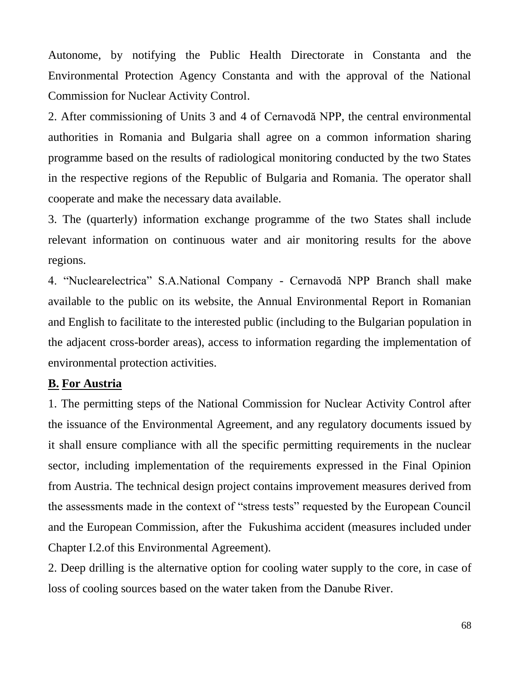Autonome, by notifying the Public Health Directorate in Constanta and the Environmental Protection Agency Constanta and with the approval of the National Commission for Nuclear Activity Control.

2. After commissioning of Units 3 and 4 of Cernavodă NPP, the central environmental authorities in Romania and Bulgaria shall agree on a common information sharing programme based on the results of radiological monitoring conducted by the two States in the respective regions of the Republic of Bulgaria and Romania. The operator shall cooperate and make the necessary data available.

3. The (quarterly) information exchange programme of the two States shall include relevant information on continuous water and air monitoring results for the above regions.

4. "Nuclearelectrica" S.A.National Company - Cernavodă NPP Branch shall make available to the public on its website, the Annual Environmental Report in Romanian and English to facilitate to the interested public (including to the Bulgarian population in the adjacent cross-border areas), access to information regarding the implementation of environmental protection activities.

## **B. For Austria**

1. The permitting steps of the National Commission for Nuclear Activity Control after the issuance of the Environmental Agreement, and any regulatory documents issued by it shall ensure compliance with all the specific permitting requirements in the nuclear sector, including implementation of the requirements expressed in the Final Opinion from Austria. The technical design project contains improvement measures derived from the assessments made in the context of "stress tests" requested by the European Council and the European Commission, after the Fukushima accident (measures included under Chapter I.2.of this Environmental Agreement).

2. Deep drilling is the alternative option for cooling water supply to the core, in case of loss of cooling sources based on the water taken from the Danube River.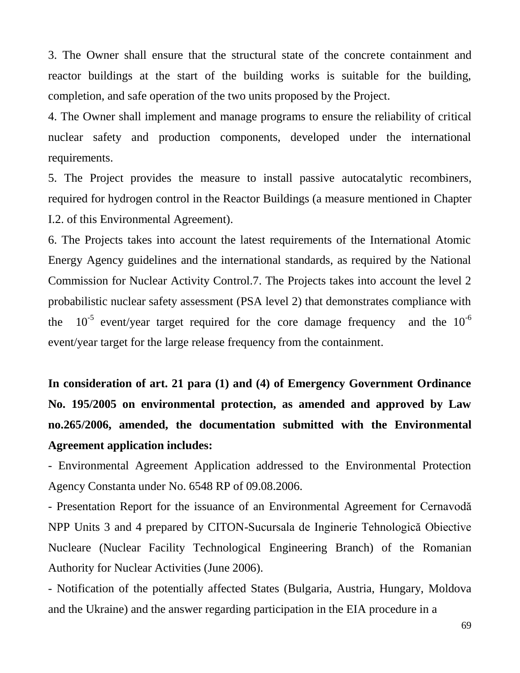3. The Owner shall ensure that the structural state of the concrete containment and reactor buildings at the start of the building works is suitable for the building, completion, and safe operation of the two units proposed by the Project.

4. The Owner shall implement and manage programs to ensure the reliability of critical nuclear safety and production components, developed under the international requirements.

5. The Project provides the measure to install passive autocatalytic recombiners, required for hydrogen control in the Reactor Buildings (a measure mentioned in Chapter I.2. of this Environmental Agreement).

6. The Projects takes into account the latest requirements of the International Atomic Energy Agency guidelines and the international standards, as required by the National Commission for Nuclear Activity Control.7. The Projects takes into account the level 2 probabilistic nuclear safety assessment (PSA level 2) that demonstrates compliance with the  $10^{-5}$  event/year target required for the core damage frequency and the  $10^{-6}$ event/year target for the large release frequency from the containment.

**In consideration of art. 21 para (1) and (4) of Emergency Government Ordinance No. 195/2005 on environmental protection, as amended and approved by Law no.265/2006, amended, the documentation submitted with the Environmental Agreement application includes:**

- Environmental Agreement Application addressed to the Environmental Protection Agency Constanta under No. 6548 RP of 09.08.2006.

- Presentation Report for the issuance of an Environmental Agreement for Cernavodă NPP Units 3 and 4 prepared by CITON-Sucursala de Inginerie Tehnologică Obiective Nucleare (Nuclear Facility Technological Engineering Branch) of the Romanian Authority for Nuclear Activities (June 2006).

- Notification of the potentially affected States (Bulgaria, Austria, Hungary, Moldova and the Ukraine) and the answer regarding participation in the EIA procedure in a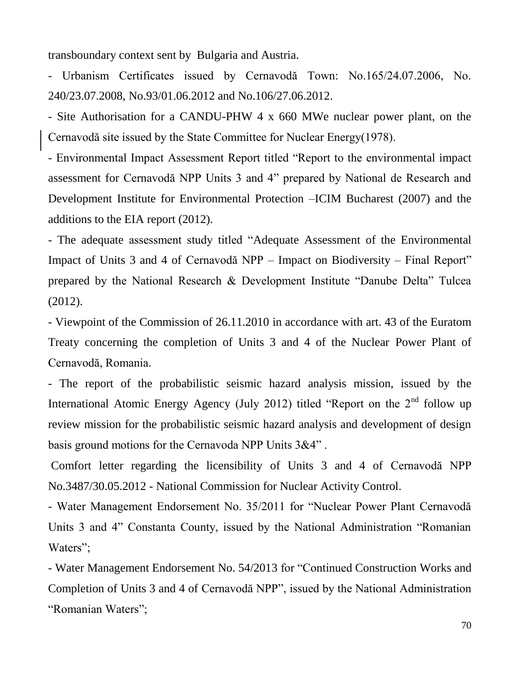transboundary context sent by Bulgaria and Austria.

- Urbanism Certificates issued by Cernavodă Town: No.165/24.07.2006, No. 240/23.07.2008, No.93/01.06.2012 and No.106/27.06.2012.

- Site Authorisation for a CANDU-PHW 4 x 660 MWe nuclear power plant, on the Cernavodă site issued by the State Committee for Nuclear Energy(1978).

- Environmental Impact Assessment Report titled "Report to the environmental impact assessment for Cernavodă NPP Units 3 and 4" prepared by National de Research and Development Institute for Environmental Protection –ICIM Bucharest (2007) and the additions to the EIA report (2012).

- The adequate assessment study titled "Adequate Assessment of the Environmental Impact of Units 3 and 4 of Cernavodă NPP – Impact on Biodiversity – Final Report" prepared by the National Research & Development Institute "Danube Delta" Tulcea (2012).

- Viewpoint of the Commission of 26.11.2010 in accordance with art. 43 of the Euratom Treaty concerning the completion of Units 3 and 4 of the Nuclear Power Plant of Cernavodă, Romania.

- The report of the probabilistic seismic hazard analysis mission, issued by the International Atomic Energy Agency (July 2012) titled "Report on the  $2<sup>nd</sup>$  follow up review mission for the probabilistic seismic hazard analysis and development of design basis ground motions for the Cernavoda NPP Units 3&4" .

Comfort letter regarding the licensibility of Units 3 and 4 of Cernavodă NPP No.3487/30.05.2012 - National Commission for Nuclear Activity Control.

- Water Management Endorsement No. 35/2011 for "Nuclear Power Plant Cernavodă Units 3 and 4" Constanta County, issued by the National Administration "Romanian Waters";

- Water Management Endorsement No. 54/2013 for "Continued Construction Works and Completion of Units 3 and 4 of Cernavodă NPP", issued by the National Administration "Romanian Waters";